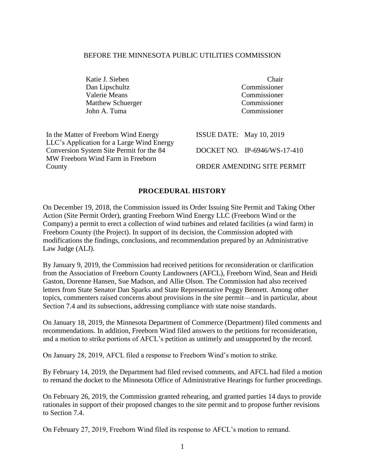#### BEFORE THE MINNESOTA PUBLIC UTILITIES COMMISSION

Katie J. Sieben Chair Dan Lipschultz Commissioner Valerie Means Commissioner Matthew Schuerger Commissioner John A. Tuma Commissioner

In the Matter of Freeborn Wind Energy LLC's Application for a Large Wind Energy Conversion System Site Permit for the 84 MW Freeborn Wind Farm in Freeborn County

ISSUE DATE: May 10, 2019 DOCKET NO. IP-6946/WS-17-410 ORDER AMENDING SITE PERMIT

#### **PROCEDURAL HISTORY**

On December 19, 2018, the Commission issued its Order Issuing Site Permit and Taking Other Action (Site Permit Order), granting Freeborn Wind Energy LLC (Freeborn Wind or the Company) a permit to erect a collection of wind turbines and related facilities (a wind farm) in Freeborn County (the Project). In support of its decision, the Commission adopted with modifications the findings, conclusions, and recommendation prepared by an Administrative Law Judge (ALJ).

By January 9, 2019, the Commission had received petitions for reconsideration or clarification from the Association of Freeborn County Landowners (AFCL), Freeborn Wind, Sean and Heidi Gaston, Dorenne Hansen, Sue Madson, and Allie Olson. The Commission had also received letters from State Senator Dan Sparks and State Representative Peggy Bennett. Among other topics, commenters raised concerns about provisions in the site permit—and in particular, about Section 7.4 and its subsections, addressing compliance with state noise standards.

On January 18, 2019, the Minnesota Department of Commerce (Department) filed comments and recommendations. In addition, Freeborn Wind filed answers to the petitions for reconsideration, and a motion to strike portions of AFCL's petition as untimely and unsupported by the record.

On January 28, 2019, AFCL filed a response to Freeborn Wind's motion to strike.

By February 14, 2019, the Department had filed revised comments, and AFCL had filed a motion to remand the docket to the Minnesota Office of Administrative Hearings for further proceedings.

On February 26, 2019, the Commission granted rehearing, and granted parties 14 days to provide rationales in support of their proposed changes to the site permit and to propose further revisions to Section 7.4.

On February 27, 2019, Freeborn Wind filed its response to AFCL's motion to remand.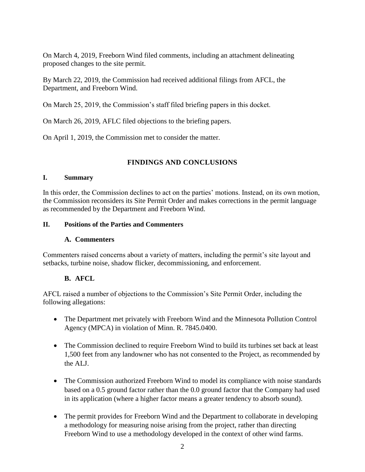On March 4, 2019, Freeborn Wind filed comments, including an attachment delineating proposed changes to the site permit.

By March 22, 2019, the Commission had received additional filings from AFCL, the Department, and Freeborn Wind.

On March 25, 2019, the Commission's staff filed briefing papers in this docket.

On March 26, 2019, AFLC filed objections to the briefing papers.

On April 1, 2019, the Commission met to consider the matter.

# **FINDINGS AND CONCLUSIONS**

#### **I. Summary**

In this order, the Commission declines to act on the parties' motions. Instead, on its own motion, the Commission reconsiders its Site Permit Order and makes corrections in the permit language as recommended by the Department and Freeborn Wind.

#### **II. Positions of the Parties and Commenters**

#### **A. Commenters**

Commenters raised concerns about a variety of matters, including the permit's site layout and setbacks, turbine noise, shadow flicker, decommissioning, and enforcement.

# **B. AFCL**

AFCL raised a number of objections to the Commission's Site Permit Order, including the following allegations:

- The Department met privately with Freeborn Wind and the Minnesota Pollution Control Agency (MPCA) in violation of Minn. R. 7845.0400.
- The Commission declined to require Freeborn Wind to build its turbines set back at least 1,500 feet from any landowner who has not consented to the Project, as recommended by the ALJ.
- The Commission authorized Freeborn Wind to model its compliance with noise standards based on a 0.5 ground factor rather than the 0.0 ground factor that the Company had used in its application (where a higher factor means a greater tendency to absorb sound).
- The permit provides for Freeborn Wind and the Department to collaborate in developing a methodology for measuring noise arising from the project, rather than directing Freeborn Wind to use a methodology developed in the context of other wind farms.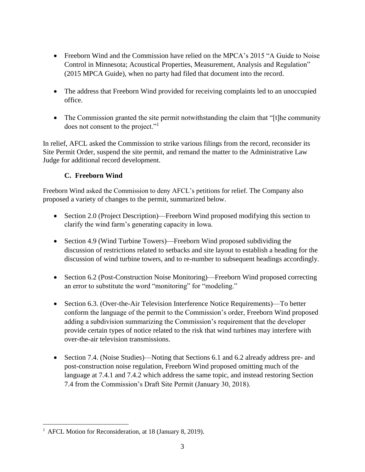- Freeborn Wind and the Commission have relied on the MPCA's 2015 "A Guide to Noise" Control in Minnesota; Acoustical Properties, Measurement, Analysis and Regulation" (2015 MPCA Guide), when no party had filed that document into the record.
- The address that Freeborn Wind provided for receiving complaints led to an unoccupied office.
- The Commission granted the site permit notwithstanding the claim that "[t]he community does not consent to the project."<sup>1</sup>

In relief, AFCL asked the Commission to strike various filings from the record, reconsider its Site Permit Order, suspend the site permit, and remand the matter to the Administrative Law Judge for additional record development.

# **C. Freeborn Wind**

Freeborn Wind asked the Commission to deny AFCL's petitions for relief. The Company also proposed a variety of changes to the permit, summarized below.

- Section 2.0 (Project Description)—Freeborn Wind proposed modifying this section to clarify the wind farm's generating capacity in Iowa.
- Section 4.9 (Wind Turbine Towers)—Freeborn Wind proposed subdividing the discussion of restrictions related to setbacks and site layout to establish a heading for the discussion of wind turbine towers, and to re-number to subsequent headings accordingly.
- Section 6.2 (Post-Construction Noise Monitoring)—Freeborn Wind proposed correcting an error to substitute the word "monitoring" for "modeling."
- Section 6.3. (Over-the-Air Television Interference Notice Requirements)—To better conform the language of the permit to the Commission's order, Freeborn Wind proposed adding a subdivision summarizing the Commission's requirement that the developer provide certain types of notice related to the risk that wind turbines may interfere with over-the-air television transmissions.
- Section 7.4. (Noise Studies)—Noting that Sections 6.1 and 6.2 already address pre- and post-construction noise regulation, Freeborn Wind proposed omitting much of the language at 7.4.1 and 7.4.2 which address the same topic, and instead restoring Section 7.4 from the Commission's Draft Site Permit (January 30, 2018).

 $\overline{a}$ <sup>1</sup> AFCL Motion for Reconsideration, at 18 (January 8, 2019).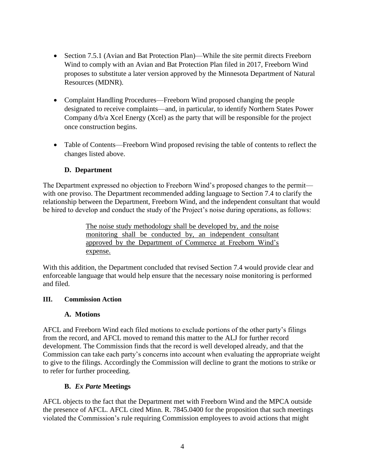- Section 7.5.1 (Avian and Bat Protection Plan)—While the site permit directs Freeborn Wind to comply with an Avian and Bat Protection Plan filed in 2017, Freeborn Wind proposes to substitute a later version approved by the Minnesota Department of Natural Resources (MDNR).
- Complaint Handling Procedures—Freeborn Wind proposed changing the people designated to receive complaints—and, in particular, to identify Northern States Power Company d/b/a Xcel Energy (Xcel) as the party that will be responsible for the project once construction begins.
- Table of Contents—Freeborn Wind proposed revising the table of contents to reflect the changes listed above.

# **D. Department**

The Department expressed no objection to Freeborn Wind's proposed changes to the permit with one proviso. The Department recommended adding language to Section 7.4 to clarify the relationship between the Department, Freeborn Wind, and the independent consultant that would be hired to develop and conduct the study of the Project's noise during operations, as follows:

> The noise study methodology shall be developed by, and the noise monitoring shall be conducted by, an independent consultant approved by the Department of Commerce at Freeborn Wind's expense.

With this addition, the Department concluded that revised Section 7.4 would provide clear and enforceable language that would help ensure that the necessary noise monitoring is performed and filed.

#### **III. Commission Action**

#### **A. Motions**

AFCL and Freeborn Wind each filed motions to exclude portions of the other party's filings from the record, and AFCL moved to remand this matter to the ALJ for further record development. The Commission finds that the record is well developed already, and that the Commission can take each party's concerns into account when evaluating the appropriate weight to give to the filings. Accordingly the Commission will decline to grant the motions to strike or to refer for further proceeding.

#### **B.** *Ex Parte* **Meetings**

AFCL objects to the fact that the Department met with Freeborn Wind and the MPCA outside the presence of AFCL. AFCL cited Minn. R. 7845.0400 for the proposition that such meetings violated the Commission's rule requiring Commission employees to avoid actions that might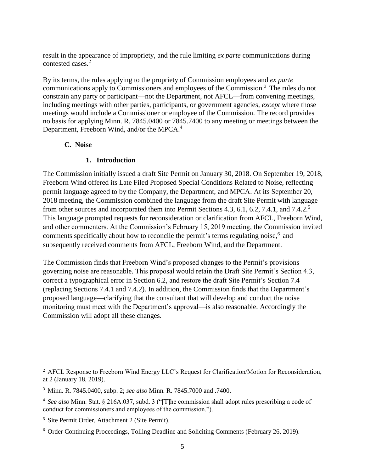result in the appearance of impropriety, and the rule limiting *ex parte* communications during contested cases.<sup>2</sup>

By its terms, the rules applying to the propriety of Commission employees and *ex parte*  communications apply to Commissioners and employees of the Commission.<sup>3</sup> The rules do not constrain any party or participant—not the Department, not AFCL—from convening meetings, including meetings with other parties, participants, or government agencies, *except* where those meetings would include a Commissioner or employee of the Commission. The record provides no basis for applying Minn. R. 7845.0400 or 7845.7400 to any meeting or meetings between the Department, Freeborn Wind, and/or the MPCA.<sup>4</sup>

#### **C. Noise**

#### **1. Introduction**

The Commission initially issued a draft Site Permit on January 30, 2018. On September 19, 2018, Freeborn Wind offered its Late Filed Proposed Special Conditions Related to Noise, reflecting permit language agreed to by the Company, the Department, and MPCA. At its September 20, 2018 meeting, the Commission combined the language from the draft Site Permit with language from other sources and incorporated them into Permit Sections 4.3, 6.1, 6.2, 7.4.1, and 7.4.2.<sup>5</sup> This language prompted requests for reconsideration or clarification from AFCL, Freeborn Wind, and other commenters. At the Commission's February 15, 2019 meeting, the Commission invited comments specifically about how to reconcile the permit's terms regulating noise,<sup>6</sup> and subsequently received comments from AFCL, Freeborn Wind, and the Department.

The Commission finds that Freeborn Wind's proposed changes to the Permit's provisions governing noise are reasonable. This proposal would retain the Draft Site Permit's Section 4.3, correct a typographical error in Section 6.2, and restore the draft Site Permit's Section 7.4 (replacing Sections 7.4.1 and 7.4.2). In addition, the Commission finds that the Department's proposed language—clarifying that the consultant that will develop and conduct the noise monitoring must meet with the Department's approval—is also reasonable. Accordingly the Commission will adopt all these changes.

 $\overline{a}$ 

<sup>&</sup>lt;sup>2</sup> AFCL Response to Freeborn Wind Energy LLC's Request for Clarification/Motion for Reconsideration, at 2 (January 18, 2019).

<sup>3</sup> Minn. R. 7845.0400, subp. 2; *see also* Minn. R. 7845.7000 and .7400.

<sup>4</sup> *See also* Minn. Stat. § 216A.037, subd. 3 ("[T]he commission shall adopt rules prescribing a code of conduct for commissioners and employees of the commission.").

<sup>5</sup> Site Permit Order, Attachment 2 (Site Permit).

<sup>6</sup> Order Continuing Proceedings, Tolling Deadline and Soliciting Comments (February 26, 2019).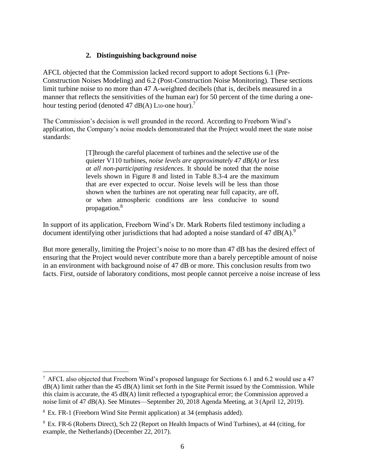#### **2. Distinguishing background noise**

AFCL objected that the Commission lacked record support to adopt Sections 6.1 (Pre-Construction Noises Modeling) and 6.2 (Post-Construction Noise Monitoring). These sections limit turbine noise to no more than 47 A-weighted decibels (that is, decibels measured in a manner that reflects the sensitivities of the human ear) for 50 percent of the time during a onehour testing period (denoted 47 dB(A) L<sub>50</sub>-one hour).<sup>7</sup>

The Commission's decision is well grounded in the record. According to Freeborn Wind's application, the Company's noise models demonstrated that the Project would meet the state noise standards:

> [T]hrough the careful placement of turbines and the selective use of the quieter V110 turbines, *noise levels are approximately 47 dB(A) or less at all non-participating residences*. It should be noted that the noise levels shown in Figure 8 and listed in Table 8.3-4 are the maximum that are ever expected to occur. Noise levels will be less than those shown when the turbines are not operating near full capacity, are off, or when atmospheric conditions are less conducive to sound propagation.<sup>8</sup>

In support of its application, Freeborn Wind's Dr. Mark Roberts filed testimony including a document identifying other jurisdictions that had adopted a noise standard of 47  $dB(A)$ .

But more generally, limiting the Project's noise to no more than 47 dB has the desired effect of ensuring that the Project would never contribute more than a barely perceptible amount of noise in an environment with background noise of 47 dB or more. This conclusion results from two facts. First, outside of laboratory conditions, most people cannot perceive a noise increase of less

 $\overline{a}$  $^7$  AFCL also objected that Freeborn Wind's proposed language for Sections 6.1 and 6.2 would use a 47  $dB(A)$  limit rather than the 45  $dB(A)$  limit set forth in the Site Permit issued by the Commission. While this claim is accurate, the 45 dB(A) limit reflected a typographical error; the Commission approved a noise limit of 47 dB(A). See Minutes—September 20, 2018 Agenda Meeting, at 3 (April 12, 2019).

<sup>8</sup> Ex. FR-1 (Freeborn Wind Site Permit application) at 34 (emphasis added).

<sup>9</sup> Ex. FR-6 (Roberts Direct), Sch 22 (Report on Health Impacts of Wind Turbines), at 44 (citing, for example, the Netherlands) (December 22, 2017).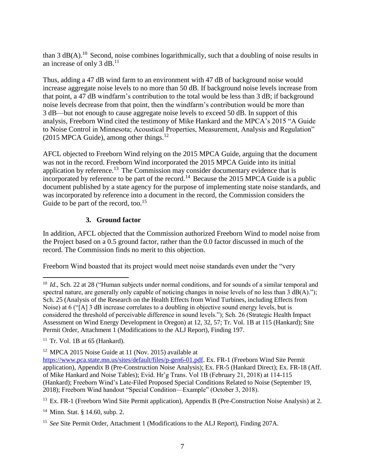than  $3$  dB(A).<sup>10</sup> Second, noise combines logarithmically, such that a doubling of noise results in an increase of only  $3$  dB.<sup>11</sup>

Thus, adding a 47 dB wind farm to an environment with 47 dB of background noise would increase aggregate noise levels to no more than 50 dB. If background noise levels increase from that point, a 47 dB windfarm's contribution to the total would be less than 3 dB; if background noise levels decrease from that point, then the windfarm's contribution would be more than 3 dB—but not enough to cause aggregate noise levels to exceed 50 dB. In support of this analysis, Freeborn Wind cited the testimony of Mike Hankard and the MPCA's 2015 "A Guide to Noise Control in Minnesota; Acoustical Properties, Measurement, Analysis and Regulation"  $(2015 \text{ MPCA Guide})$ , among other things.<sup>12</sup>

AFCL objected to Freeborn Wind relying on the 2015 MPCA Guide, arguing that the document was not in the record. Freeborn Wind incorporated the 2015 MPCA Guide into its initial application by reference.<sup>13</sup> The Commission may consider documentary evidence that is incorporated by reference to be part of the record.<sup>14</sup> Because the 2015 MPCA Guide is a public document published by a state agency for the purpose of implementing state noise standards, and was incorporated by reference into a document in the record, the Commission considers the Guide to be part of the record, too.<sup>15</sup>

# **3. Ground factor**

In addition, AFCL objected that the Commission authorized Freeborn Wind to model noise from the Project based on a 0.5 ground factor, rather than the 0.0 factor discussed in much of the record. The Commission finds no merit to this objection.

Freeborn Wind boasted that its project would meet noise standards even under the "very

 $\overline{a}$ 

<sup>&</sup>lt;sup>10</sup> *Id.*, Sch. 22 at 28 ("Human subjects under normal conditions, and for sounds of a similar temporal and spectral nature, are generally only capable of noticing changes in noise levels of no less than  $3 \text{ dB}(A)$ ."); Sch. 25 (Analysis of the Research on the Health Effects from Wind Turbines, including Effects from Noise) at 6 ("[A] 3 dB increase correlates to a doubling in objective sound energy levels, but is considered the threshold of perceivable difference in sound levels."); Sch. 26 (Strategic Health Impact Assessment on Wind Energy Development in Oregon) at 12, 32, 57; Tr. Vol. 1B at 115 (Hankard); Site Permit Order, Attachment 1 (Modifications to the ALJ Report), Finding 197.

 $11$  Tr. Vol. 1B at 65 (Hankard).

<sup>12</sup> MPCA 2015 Noise Guide at 11 (Nov. 2015) available at

[https://www.pca.state.mn.us/sites/default/files/p-gen6-01.pdf.](https://www.pca.state.mn.us/sites/default/files/p-gen6-01.pdf) Ex. FR-1 (Freeborn Wind Site Permit application), Appendix B (Pre-Construction Noise Analysis); Ex. FR-5 (Hankard Direct); Ex. FR-18 (Aff. of Mike Hankard and Noise Tables); Evid. Hr'g Trans. Vol 1B (February 21, 2018) at 114-115 (Hankard); Freeborn Wind's Late-Filed Proposed Special Conditions Related to Noise (September 19, 2018); Freeborn Wind handout "Special Condition—Example" (October 3, 2018).

<sup>&</sup>lt;sup>13</sup> Ex. FR-1 (Freeborn Wind Site Permit application), Appendix B (Pre-Construction Noise Analysis) at 2.

<sup>14</sup> Minn. Stat. § 14.60, subp. 2.

<sup>15</sup> *See* Site Permit Order, Attachment 1 (Modifications to the ALJ Report), Finding 207A.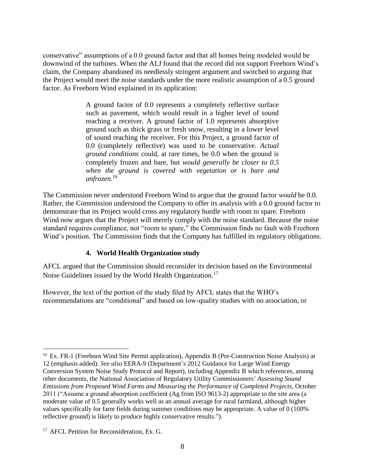conservative" assumptions of a 0.0 ground factor and that all homes being modeled would be downwind of the turbines. When the ALJ found that the record did not support Freeborn Wind's claim, the Company abandoned its needlessly stringent argument and switched to arguing that the Project would meet the noise standards under the more realistic assumption of a 0.5 ground factor. As Freeborn Wind explained in its application:

> A ground factor of 0.0 represents a completely reflective surface such as pavement, which would result in a higher level of sound reaching a receiver. A ground factor of 1.0 represents absorptive ground such as thick grass or fresh snow, resulting in a lower level of sound reaching the receiver. For this Project, a ground factor of 0.0 (completely reflective) was used to be conservative. *Actual ground conditions* could, at rare times, be 0.0 when the ground is completely frozen and bare, but *would generally be closer to 0.5 when the ground is covered with vegetation or is bare and unfrozen. 16*

The Commission never understood Freeborn Wind to argue that the ground factor *would* be 0.0. Rather, the Commission understood the Company to offer its analysis with a 0.0 ground factor to demonstrate that its Project would cross any regulatory hurdle with room to spare. Freeborn Wind now argues that the Project will merely comply with the noise standard. Because the noise standard requires compliance, not "room to spare," the Commission finds no fault with Freeborn Wind's position. The Commission finds that the Company has fulfilled its regulatory obligations.

# **4. World Health Organization study**

AFCL argued that the Commission should reconsider its decision based on the Environmental Noise Guidelines issued by the World Health Organization.<sup>17</sup>

However, the text of the portion of the study filed by AFCL states that the WHO's recommendations are "conditional" and based on low-quality studies with no association, or

 $\overline{a}$ 

<sup>&</sup>lt;sup>16</sup> Ex. FR-1 (Freeborn Wind Site Permit application), Appendix B (Pre-Construction Noise Analysis) at 12 (emphasis added). *See also* EERA-9 (Department's 2012 Guidance for Large Wind Energy Conversion System Noise Study Protocol and Report), including Appendix B which references, among other documents, the National Association of Regulatory Utility Commissioners' *Assessing Sound Emissions from Proposed Wind Farms and Measuring the Performance of Completed Projects*, October 2011 ("Assume a ground absorption coefficient (Ag from ISO 9613-2) appropriate to the site area (a moderate value of 0.5 generally works well as an annual average for rural farmland, although higher values specifically for farm fields during summer conditions may be appropriate. A value of 0 (100% reflective ground) is likely to produce highly conservative results.").

<sup>&</sup>lt;sup>17</sup> AFCL Petition for Reconsideration, Ex. G.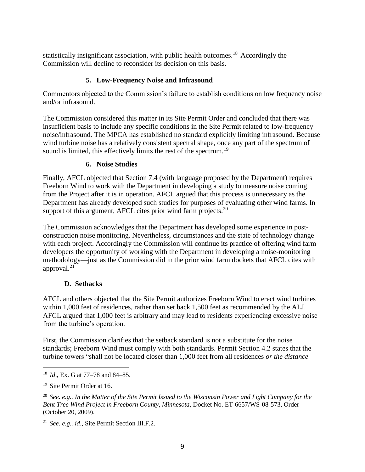statistically insignificant association, with public health outcomes.<sup>18</sup> Accordingly the Commission will decline to reconsider its decision on this basis.

# **5. Low-Frequency Noise and Infrasound**

Commentors objected to the Commission's failure to establish conditions on low frequency noise and/or infrasound.

The Commission considered this matter in its Site Permit Order and concluded that there was insufficient basis to include any specific conditions in the Site Permit related to low-frequency noise/infrasound. The MPCA has established no standard explicitly limiting infrasound. Because wind turbine noise has a relatively consistent spectral shape, once any part of the spectrum of sound is limited, this effectively limits the rest of the spectrum.<sup>19</sup>

#### **6. Noise Studies**

Finally, AFCL objected that Section 7.4 (with language proposed by the Department) requires Freeborn Wind to work with the Department in developing a study to measure noise coming from the Project after it is in operation. AFCL argued that this process is unnecessary as the Department has already developed such studies for purposes of evaluating other wind farms. In support of this argument, AFCL cites prior wind farm projects.<sup>20</sup>

The Commission acknowledges that the Department has developed some experience in postconstruction noise monitoring. Nevertheless, circumstances and the state of technology change with each project. Accordingly the Commission will continue its practice of offering wind farm developers the opportunity of working with the Department in developing a noise-monitoring methodology—just as the Commission did in the prior wind farm dockets that AFCL cites with approval. $21$ 

# **D. Setbacks**

AFCL and others objected that the Site Permit authorizes Freeborn Wind to erect wind turbines within 1,000 feet of residences, rather than set back 1,500 feet as recommended by the ALJ. AFCL argued that 1,000 feet is arbitrary and may lead to residents experiencing excessive noise from the turbine's operation.

First, the Commission clarifies that the setback standard is not a substitute for the noise standards; Freeborn Wind must comply with both standards. Permit Section 4.2 states that the turbine towers "shall not be located closer than 1,000 feet from all residences *or the distance* 

 $\overline{a}$ <sup>18</sup> *Id*., Ex. G at 77–78 and 84–85.

<sup>&</sup>lt;sup>19</sup> Site Permit Order at 16.

<sup>20</sup> *See. e.g.. In the Matter of the Site Permit Issued to the Wisconsin Power and Light Company for the Bent Tree Wind Project in Freeborn County, Minnesota,* Docket No. ET-6657/WS-08-573, Order (October 20, 2009).

<sup>21</sup> *See. e.g.. id*., Site Permit Section III.F.2.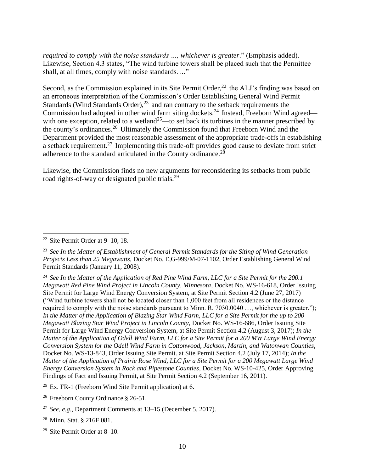*required to comply with the noise standards …, whichever is greater*." (Emphasis added). Likewise, Section 4.3 states, "The wind turbine towers shall be placed such that the Permittee shall, at all times, comply with noise standards…."

Second, as the Commission explained in its Site Permit Order, $^{22}$  the ALJ's finding was based on an erroneous interpretation of the Commission's Order Establishing General Wind Permit Standards (Wind Standards Order), $^{23}$  and ran contrary to the setback requirements the Commission had adopted in other wind farm siting dockets.<sup>24</sup> Instead, Freeborn Wind agreed with one exception, related to a wetland<sup>25</sup>—to set back its turbines in the manner prescribed by the county's ordinances.<sup>26</sup> Ultimately the Commission found that Freeborn Wind and the Department provided the most reasonable assessment of the appropriate trade-offs in establishing a setback requirement.<sup>27</sup> Implementing this trade-off provides good cause to deviate from strict adherence to the standard articulated in the County ordinance.<sup>28</sup>

Likewise, the Commission finds no new arguments for reconsidering its setbacks from public road rights-of-way or designated public trials.<sup>29</sup>

 $\overline{a}$ 

<sup>26</sup> Freeborn County Ordinance § 26-51.

<sup>28</sup> Minn. Stat. § 216F.081.

<sup>22</sup> Site Permit Order at 9–10, 18.

<sup>23</sup> *See In the Matter of Establishment of General Permit Standards for the Siting of Wind Generation Projects Less than 25 Megawatts,* Docket No. E,G-999/M-07-1102, Order Establishing General Wind Permit Standards (January 11, 2008).

<sup>24</sup> *See In the Matter of the Application of Red Pine Wind Farm, LLC for a Site Permit for the 200.1 Megawatt Red Pine Wind Project in Lincoln County, Minnesota*, Docket No. WS-16-618, Order Issuing Site Permit for Large Wind Energy Conversion System, at Site Permit Section 4.2 (June 27, 2017) ("Wind turbine towers shall not be located closer than 1,000 feet from all residences or the distance required to comply with the noise standards pursuant to Minn. R. 7030.0040 …, whichever is greater."); *In the Matter of the Application of Blazing Star Wind Farm, LLC for a Site Permit for the up to 200 Megawatt Blazing Star Wind Project in Lincoln County*, Docket No. WS-16-686, Order Issuing Site Permit for Large Wind Energy Conversion System, at Site Permit Section 4.2 (August 3, 2017); *In the Matter of the Application of Odell Wind Farm, LLC for a Site Permit for a 200 MW Large Wind Energy Conversion System for the Odell Wind Farm in Cottonwood, Jackson, Martin, and Watonwan Counties*, Docket No. WS-13-843, Order Issuing Site Permit. at Site Permit Section 4.2 (July 17, 2014); *In the Matter of the Application of Prairie Rose Wind, LLC for a Site Permit for a 200 Megawatt Large Wind Energy Conversion System in Rock and Pipestone Counties*, Docket No. WS-10-425, Order Approving Findings of Fact and Issuing Permit, at Site Permit Section 4.2 (September 16, 2011).

 $25$  Ex. FR-1 (Freeborn Wind Site Permit application) at 6.

<sup>27</sup> *See, e.g.,* Department Comments at 13–15 (December 5, 2017).

<sup>29</sup> Site Permit Order at 8–10.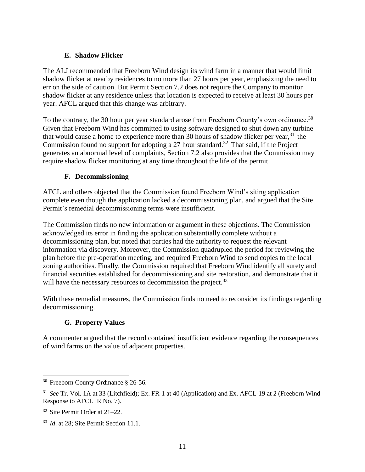#### **E. Shadow Flicker**

The ALJ recommended that Freeborn Wind design its wind farm in a manner that would limit shadow flicker at nearby residences to no more than 27 hours per year, emphasizing the need to err on the side of caution. But Permit Section 7.2 does not require the Company to monitor shadow flicker at any residence unless that location is expected to receive at least 30 hours per year. AFCL argued that this change was arbitrary.

To the contrary, the 30 hour per year standard arose from Freeborn County's own ordinance.<sup>30</sup> Given that Freeborn Wind has committed to using software designed to shut down any turbine that would cause a home to experience more than 30 hours of shadow flicker per year,  $31$  the Commission found no support for adopting a 27 hour standard.<sup>32</sup> That said, if the Project generates an abnormal level of complaints, Section 7.2 also provides that the Commission may require shadow flicker monitoring at any time throughout the life of the permit.

#### **F. Decommissioning**

AFCL and others objected that the Commission found Freeborn Wind's siting application complete even though the application lacked a decommissioning plan, and argued that the Site Permit's remedial decommissioning terms were insufficient.

The Commission finds no new information or argument in these objections. The Commission acknowledged its error in finding the application substantially complete without a decommissioning plan, but noted that parties had the authority to request the relevant information via discovery. Moreover, the Commission quadrupled the period for reviewing the plan before the pre-operation meeting, and required Freeborn Wind to send copies to the local zoning authorities. Finally, the Commission required that Freeborn Wind identify all surety and financial securities established for decommissioning and site restoration, and demonstrate that it will have the necessary resources to decommission the project.<sup>33</sup>

With these remedial measures, the Commission finds no need to reconsider its findings regarding decommissioning.

#### **G. Property Values**

A commenter argued that the record contained insufficient evidence regarding the consequences of wind farms on the value of adjacent properties.

 $\overline{a}$ 

<sup>&</sup>lt;sup>30</sup> Freeborn County Ordinance § 26-56.

<sup>31</sup> *See* Tr. Vol. 1A at 33 (Litchfield); Ex. FR-1 at 40 (Application) and Ex. AFCL-19 at 2 (Freeborn Wind Response to AFCL IR No. 7).

<sup>32</sup> Site Permit Order at 21–22.

<sup>&</sup>lt;sup>33</sup> *Id.* at 28; Site Permit Section 11.1.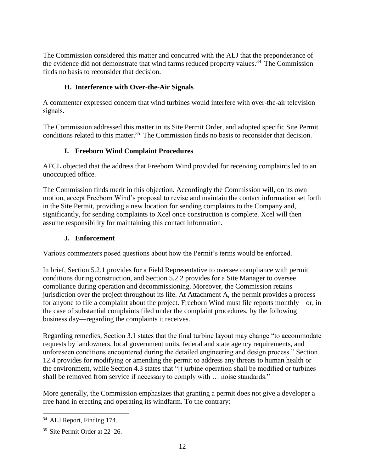The Commission considered this matter and concurred with the ALJ that the preponderance of the evidence did not demonstrate that wind farms reduced property values.<sup>34</sup> The Commission finds no basis to reconsider that decision.

# **H. Interference with Over-the-Air Signals**

A commenter expressed concern that wind turbines would interfere with over-the-air television signals.

The Commission addressed this matter in its Site Permit Order, and adopted specific Site Permit conditions related to this matter.<sup>35</sup> The Commission finds no basis to reconsider that decision.

### **I. Freeborn Wind Complaint Procedures**

AFCL objected that the address that Freeborn Wind provided for receiving complaints led to an unoccupied office.

The Commission finds merit in this objection. Accordingly the Commission will, on its own motion, accept Freeborn Wind's proposal to revise and maintain the contact information set forth in the Site Permit, providing a new location for sending complaints to the Company and, significantly, for sending complaints to Xcel once construction is complete. Xcel will then assume responsibility for maintaining this contact information.

#### **J. Enforcement**

Various commenters posed questions about how the Permit's terms would be enforced.

In brief, Section 5.2.1 provides for a Field Representative to oversee compliance with permit conditions during construction, and Section 5.2.2 provides for a Site Manager to oversee compliance during operation and decommissioning. Moreover, the Commission retains jurisdiction over the project throughout its life. At Attachment A, the permit provides a process for anyone to file a complaint about the project. Freeborn Wind must file reports monthly—or, in the case of substantial complaints filed under the complaint procedures, by the following business day—regarding the complaints it receives.

Regarding remedies, Section 3.1 states that the final turbine layout may change "to accommodate requests by landowners, local government units, federal and state agency requirements, and unforeseen conditions encountered during the detailed engineering and design process." Section 12.4 provides for modifying or amending the permit to address any threats to human health or the environment, while Section 4.3 states that "[t]urbine operation shall be modified or turbines shall be removed from service if necessary to comply with … noise standards."

More generally, the Commission emphasizes that granting a permit does not give a developer a free hand in erecting and operating its windfarm. To the contrary:

 $\overline{a}$ 

<sup>&</sup>lt;sup>34</sup> ALJ Report, Finding 174.

<sup>35</sup> Site Permit Order at 22–26.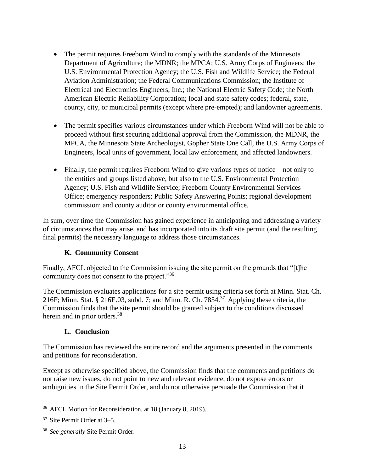- The permit requires Freeborn Wind to comply with the standards of the Minnesota Department of Agriculture; the MDNR; the MPCA; U.S. Army Corps of Engineers; the U.S. Environmental Protection Agency; the U.S. Fish and Wildlife Service; the Federal Aviation Administration; the Federal Communications Commission; the Institute of Electrical and Electronics Engineers, Inc.; the National Electric Safety Code; the North American Electric Reliability Corporation; local and state safety codes; federal, state, county, city, or municipal permits (except where pre-empted); and landowner agreements.
- The permit specifies various circumstances under which Freeborn Wind will not be able to proceed without first securing additional approval from the Commission, the MDNR, the MPCA, the Minnesota State Archeologist, Gopher State One Call, the U.S. Army Corps of Engineers, local units of government, local law enforcement, and affected landowners.
- Finally, the permit requires Freeborn Wind to give various types of notice—not only to the entities and groups listed above, but also to the U.S. Environmental Protection Agency; U.S. Fish and Wildlife Service; Freeborn County Environmental Services Office; emergency responders; Public Safety Answering Points; regional development commission; and county auditor or county environmental office.

In sum, over time the Commission has gained experience in anticipating and addressing a variety of circumstances that may arise, and has incorporated into its draft site permit (and the resulting final permits) the necessary language to address those circumstances.

#### **K. Community Consent**

Finally, AFCL objected to the Commission issuing the site permit on the grounds that "[t]he community does not consent to the project."<sup>36</sup>

The Commission evaluates applications for a site permit using criteria set forth at Minn. Stat. Ch. 216F; Minn. Stat. § 216E.03, subd. 7; and Minn. R. Ch. 7854. $37$  Applying these criteria, the Commission finds that the site permit should be granted subject to the conditions discussed herein and in prior orders.<sup>38</sup>

#### **L. Conclusion**

The Commission has reviewed the entire record and the arguments presented in the comments and petitions for reconsideration.

Except as otherwise specified above, the Commission finds that the comments and petitions do not raise new issues, do not point to new and relevant evidence, do not expose errors or ambiguities in the Site Permit Order, and do not otherwise persuade the Commission that it

<sup>36</sup> AFCL Motion for Reconsideration, at 18 (January 8, 2019).

<sup>37</sup> Site Permit Order at 3–5.

<sup>38</sup> *See generally* Site Permit Order.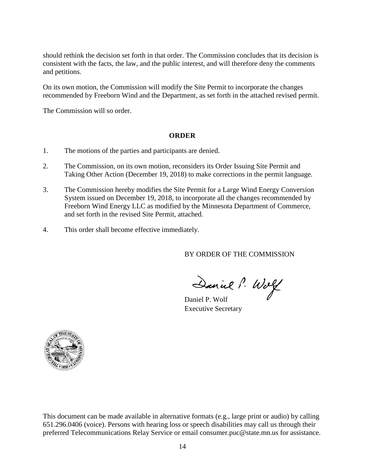should rethink the decision set forth in that order. The Commission concludes that its decision is consistent with the facts, the law, and the public interest, and will therefore deny the comments and petitions.

On its own motion, the Commission will modify the Site Permit to incorporate the changes recommended by Freeborn Wind and the Department, as set forth in the attached revised permit.

The Commission will so order.

#### **ORDER**

- 1. The motions of the parties and participants are denied.
- 2. The Commission, on its own motion, reconsiders its Order Issuing Site Permit and Taking Other Action (December 19, 2018) to make corrections in the permit language.
- 3. The Commission hereby modifies the Site Permit for a Large Wind Energy Conversion System issued on December 19, 2018, to incorporate all the changes recommended by Freeborn Wind Energy LLC as modified by the Minnesota Department of Commerce, and set forth in the revised Site Permit, attached.
- 4. This order shall become effective immediately.

BY ORDER OF THE COMMISSION

Daniel P. Wolf

Executive Secretary



This document can be made available in alternative formats (e.g., large print or audio) by calling 651.296.0406 (voice). Persons with hearing loss or speech disabilities may call us through their preferred Telecommunications Relay Service or email consumer.puc@state.mn.us for assistance.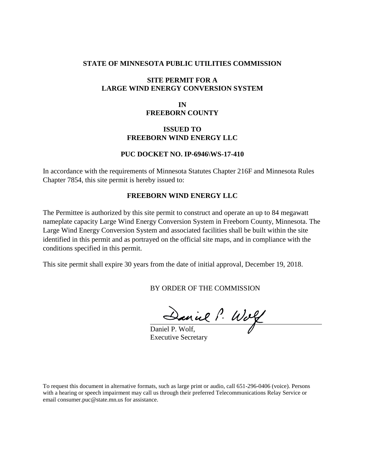#### **STATE OF MINNESOTA PUBLIC UTILITIES COMMISSION**

#### **SITE PERMIT FOR A LARGE WIND ENERGY CONVERSION SYSTEM**

#### **IN FREEBORN COUNTY**

#### **ISSUED TO FREEBORN WIND ENERGY LLC**

#### **PUC DOCKET NO. IP-6946\WS-17-410**

In accordance with the requirements of Minnesota Statutes Chapter 216F and Minnesota Rules Chapter 7854, this site permit is hereby issued to:

#### **FREEBORN WIND ENERGY LLC**

The Permittee is authorized by this site permit to construct and operate an up to 84 megawatt nameplate capacity Large Wind Energy Conversion System in Freeborn County, Minnesota. The Large Wind Energy Conversion System and associated facilities shall be built within the site identified in this permit and as portrayed on the official site maps, and in compliance with the conditions specified in this permit.

This site permit shall expire 30 years from the date of initial approval, December 19, 2018.

BY ORDER OF THE COMMISSION

Daniel P. Wolf

Executive Secretary

To request this document in alternative formats, such as large print or audio, call 651-296-0406 (voice). Persons with a hearing or speech impairment may call us through their preferred Telecommunications Relay Service or email consumer.puc@state.mn.us for assistance.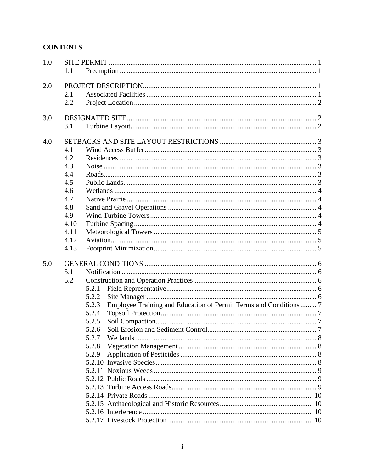# **CONTENTS**

| 1.0 |      |                                                                           |  |  |  |  |  |
|-----|------|---------------------------------------------------------------------------|--|--|--|--|--|
|     | 1.1  |                                                                           |  |  |  |  |  |
| 2.0 |      |                                                                           |  |  |  |  |  |
|     | 2.1  |                                                                           |  |  |  |  |  |
|     | 2.2  |                                                                           |  |  |  |  |  |
| 3.0 |      |                                                                           |  |  |  |  |  |
|     | 3.1  |                                                                           |  |  |  |  |  |
| 4.0 |      |                                                                           |  |  |  |  |  |
|     | 4.1  |                                                                           |  |  |  |  |  |
|     | 4.2  |                                                                           |  |  |  |  |  |
|     | 4.3  |                                                                           |  |  |  |  |  |
|     | 4.4  |                                                                           |  |  |  |  |  |
|     | 4.5  |                                                                           |  |  |  |  |  |
|     | 4.6  |                                                                           |  |  |  |  |  |
|     | 4.7  |                                                                           |  |  |  |  |  |
|     | 4.8  |                                                                           |  |  |  |  |  |
|     | 4.9  |                                                                           |  |  |  |  |  |
|     | 4.10 |                                                                           |  |  |  |  |  |
|     | 4.11 |                                                                           |  |  |  |  |  |
|     | 4.12 |                                                                           |  |  |  |  |  |
|     | 4.13 |                                                                           |  |  |  |  |  |
| 5.0 |      |                                                                           |  |  |  |  |  |
|     | 5.1  |                                                                           |  |  |  |  |  |
|     | 5.2  |                                                                           |  |  |  |  |  |
|     |      | 5.2.1                                                                     |  |  |  |  |  |
|     |      | 5.2.2                                                                     |  |  |  |  |  |
|     |      | Employee Training and Education of Permit Terms and Conditions 7<br>5.2.3 |  |  |  |  |  |
|     |      | 5.2.4                                                                     |  |  |  |  |  |
|     |      | 5.2.5                                                                     |  |  |  |  |  |
|     |      | 5.2.6                                                                     |  |  |  |  |  |
|     |      | 5.2.7                                                                     |  |  |  |  |  |
|     |      | 5.2.8                                                                     |  |  |  |  |  |
|     |      | 5.2.9                                                                     |  |  |  |  |  |
|     |      |                                                                           |  |  |  |  |  |
|     |      |                                                                           |  |  |  |  |  |
|     |      |                                                                           |  |  |  |  |  |
|     |      |                                                                           |  |  |  |  |  |
|     |      |                                                                           |  |  |  |  |  |
|     |      |                                                                           |  |  |  |  |  |
|     |      |                                                                           |  |  |  |  |  |
|     |      |                                                                           |  |  |  |  |  |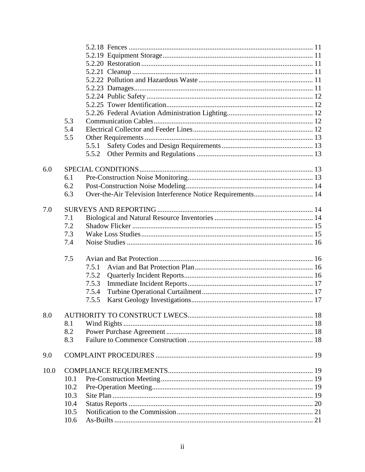|      | 5.3  |                                                             |  |  |  |
|------|------|-------------------------------------------------------------|--|--|--|
|      | 5.4  |                                                             |  |  |  |
|      | 5.5  |                                                             |  |  |  |
|      |      | 5.5.1                                                       |  |  |  |
|      |      | 5.5.2                                                       |  |  |  |
|      |      |                                                             |  |  |  |
| 6.0  |      |                                                             |  |  |  |
|      | 6.1  |                                                             |  |  |  |
|      | 6.2  |                                                             |  |  |  |
|      | 6.3  | Over-the-Air Television Interference Notice Requirements 14 |  |  |  |
|      |      |                                                             |  |  |  |
| 7.0  |      |                                                             |  |  |  |
|      | 7.1  |                                                             |  |  |  |
|      | 7.2  |                                                             |  |  |  |
|      | 7.3  |                                                             |  |  |  |
|      | 7.4  |                                                             |  |  |  |
|      |      |                                                             |  |  |  |
|      | 7.5  |                                                             |  |  |  |
|      |      | 7.5.1                                                       |  |  |  |
|      |      | 7.5.2                                                       |  |  |  |
|      |      | 7.5.3                                                       |  |  |  |
|      |      | 7.5.4                                                       |  |  |  |
|      |      | 7.5.5                                                       |  |  |  |
|      |      |                                                             |  |  |  |
| 8.0  |      |                                                             |  |  |  |
|      | 8.1  |                                                             |  |  |  |
|      | 8.2  |                                                             |  |  |  |
|      | 8.3  |                                                             |  |  |  |
|      |      |                                                             |  |  |  |
| 9.0  |      |                                                             |  |  |  |
| 10.0 |      |                                                             |  |  |  |
|      | 10.1 |                                                             |  |  |  |
|      | 10.2 |                                                             |  |  |  |
|      | 10.3 |                                                             |  |  |  |
|      | 10.4 |                                                             |  |  |  |
|      | 10.5 |                                                             |  |  |  |
|      | 10.6 |                                                             |  |  |  |
|      |      |                                                             |  |  |  |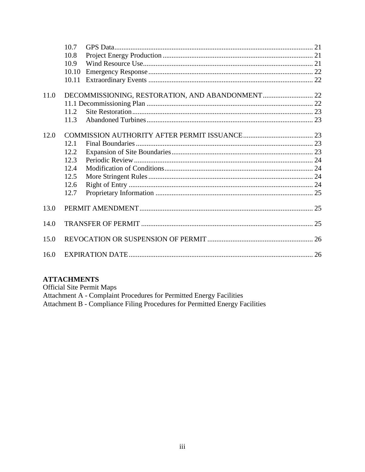|      | 10.7  |  |  |  |
|------|-------|--|--|--|
|      | 10.8  |  |  |  |
|      | 10.9  |  |  |  |
|      | 10.10 |  |  |  |
|      | 10.11 |  |  |  |
| 11.0 |       |  |  |  |
|      |       |  |  |  |
|      | 11.2  |  |  |  |
|      | 11.3  |  |  |  |
| 12.0 |       |  |  |  |
|      | 12.1  |  |  |  |
|      | 12.2  |  |  |  |
|      | 12.3  |  |  |  |
|      | 12.4  |  |  |  |
|      | 12.5  |  |  |  |
|      | 12.6  |  |  |  |
|      | 12.7  |  |  |  |
| 13.0 |       |  |  |  |
| 14.0 |       |  |  |  |
| 15.0 |       |  |  |  |
| 16.0 |       |  |  |  |

### **ATTACHMENTS**

**Official Site Permit Maps** Attachment A - Complaint Procedures for Permitted Energy Facilities<br>Attachment B - Compliance Filing Procedures for Permitted Energy Facilities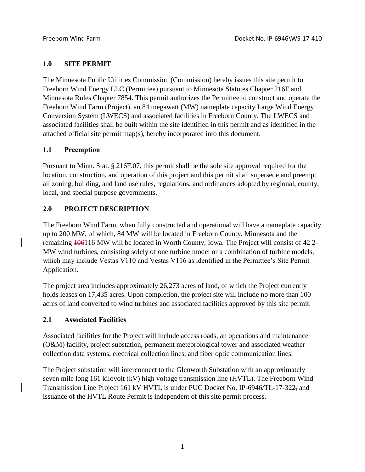### **1.0 SITE PERMIT**

The Minnesota Public Utilities Commission (Commission) hereby issues this site permit to Freeborn Wind Energy LLC (Permittee) pursuant to Minnesota Statutes Chapter 216F and Minnesota Rules Chapter 7854. This permit authorizes the Permittee to construct and operate the Freeborn Wind Farm (Project), an 84 megawatt (MW) nameplate capacity Large Wind Energy Conversion System (LWECS) and associated facilities in Freeborn County. The LWECS and associated facilities shall be built within the site identified in this permit and as identified in the attached official site permit map(s), hereby incorporated into this document.

### **1.1 Preemption**

Pursuant to Minn. Stat. § 216F.07, this permit shall be the sole site approval required for the location, construction, and operation of this project and this permit shall supersede and preempt all zoning, building, and land use rules, regulations, and ordinances adopted by regional, county, local, and special purpose governments.

# **2.0 PROJECT DESCRIPTION**

The Freeborn Wind Farm, when fully constructed and operational will have a nameplate capacity up to 200 MW, of which, 84 MW will be located in Freeborn County, Minnesota and the remaining 106116 MW will be located in Worth County, Iowa. The Project will consist of 42 2- MW wind turbines, consisting solely of one turbine model or a combination of turbine models, which may include Vestas V110 and Vestas V116 as identified in the Permittee's Site Permit Application.

The project area includes approximately 26,273 acres of land, of which the Project currently holds leases on 17,435 acres. Upon completion, the project site will include no more than 100 acres of land converted to wind turbines and associated facilities approved by this site permit.

# **2.1 Associated Facilities**

Associated facilities for the Project will include access roads, an operations and maintenance (O&M) facility, project substation, permanent meteorological tower and associated weather collection data systems, electrical collection lines, and fiber optic communication lines.

The Project substation will interconnect to the Glenworth Substation with an approximately seven mile long 161 kilovolt (kV) high voltage transmission line (HVTL). The Freeborn Wind Transmission Line Project 161 kV HVTL is under PUC Docket No. IP-6946/TL-17-322, and issuance of the HVTL Route Permit is independent of this site permit process.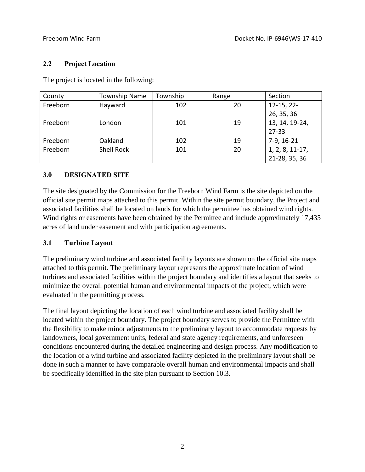#### **2.2 Project Location**

The project is located in the following:

| County   | <b>Township Name</b> | Township | Range | Section         |
|----------|----------------------|----------|-------|-----------------|
| Freeborn | Hayward              | 102      | 20    | $12-15, 22-$    |
|          |                      |          |       | 26, 35, 36      |
| Freeborn | London               | 101      | 19    | 13, 14, 19-24,  |
|          |                      |          |       | $27 - 33$       |
| Freeborn | Oakland              | 102      | 19    | 7-9, 16-21      |
| Freeborn | <b>Shell Rock</b>    | 101      | 20    | 1, 2, 8, 11-17, |
|          |                      |          |       | 21-28, 35, 36   |

### **3.0 DESIGNATED SITE**

The site designated by the Commission for the Freeborn Wind Farm is the site depicted on the official site permit maps attached to this permit. Within the site permit boundary, the Project and associated facilities shall be located on lands for which the permittee has obtained wind rights. Wind rights or easements have been obtained by the Permittee and include approximately 17,435 acres of land under easement and with participation agreements.

#### **3.1 Turbine Layout**

The preliminary wind turbine and associated facility layouts are shown on the official site maps attached to this permit. The preliminary layout represents the approximate location of wind turbines and associated facilities within the project boundary and identifies a layout that seeks to minimize the overall potential human and environmental impacts of the project, which were evaluated in the permitting process.

The final layout depicting the location of each wind turbine and associated facility shall be located within the project boundary. The project boundary serves to provide the Permittee with the flexibility to make minor adjustments to the preliminary layout to accommodate requests by landowners, local government units, federal and state agency requirements, and unforeseen conditions encountered during the detailed engineering and design process. Any modification to the location of a wind turbine and associated facility depicted in the preliminary layout shall be done in such a manner to have comparable overall human and environmental impacts and shall be specifically identified in the site plan pursuant to Section 10.3.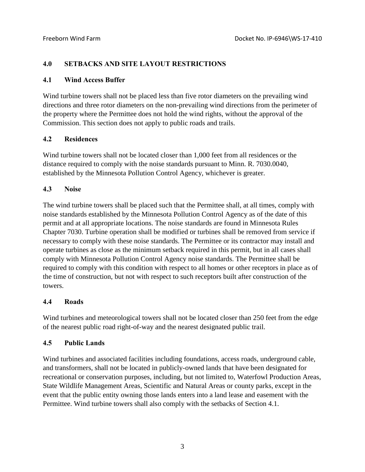#### **4.0 SETBACKS AND SITE LAYOUT RESTRICTIONS**

#### **4.1 Wind Access Buffer**

Wind turbine towers shall not be placed less than five rotor diameters on the prevailing wind directions and three rotor diameters on the non-prevailing wind directions from the perimeter of the property where the Permittee does not hold the wind rights, without the approval of the Commission. This section does not apply to public roads and trails.

#### **4.2 Residences**

Wind turbine towers shall not be located closer than 1,000 feet from all residences or the distance required to comply with the noise standards pursuant to Minn. R. 7030.0040, established by the Minnesota Pollution Control Agency, whichever is greater.

### **4.3 Noise**

The wind turbine towers shall be placed such that the Permittee shall, at all times, comply with noise standards established by the Minnesota Pollution Control Agency as of the date of this permit and at all appropriate locations. The noise standards are found in Minnesota Rules Chapter 7030. Turbine operation shall be modified or turbines shall be removed from service if necessary to comply with these noise standards. The Permittee or its contractor may install and operate turbines as close as the minimum setback required in this permit, but in all cases shall comply with Minnesota Pollution Control Agency noise standards. The Permittee shall be required to comply with this condition with respect to all homes or other receptors in place as of the time of construction, but not with respect to such receptors built after construction of the towers.

#### **4.4 Roads**

Wind turbines and meteorological towers shall not be located closer than 250 feet from the edge of the nearest public road right-of-way and the nearest designated public trail.

#### **4.5 Public Lands**

Wind turbines and associated facilities including foundations, access roads, underground cable, and transformers, shall not be located in publicly-owned lands that have been designated for recreational or conservation purposes, including, but not limited to, Waterfowl Production Areas, State Wildlife Management Areas, Scientific and Natural Areas or county parks, except in the event that the public entity owning those lands enters into a land lease and easement with the Permittee. Wind turbine towers shall also comply with the setbacks of Section 4.1.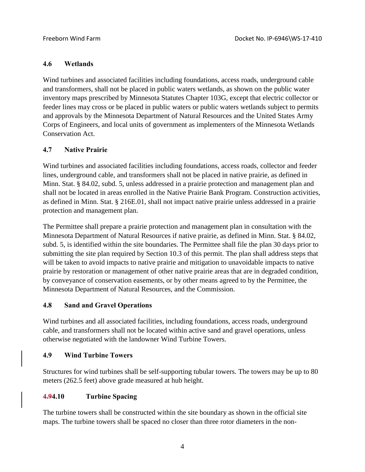### **4.6 Wetlands**

Wind turbines and associated facilities including foundations, access roads, underground cable and transformers, shall not be placed in public waters wetlands, as shown on the public water inventory maps prescribed by Minnesota Statutes Chapter 103G, except that electric collector or feeder lines may cross or be placed in public waters or public waters wetlands subject to permits and approvals by the Minnesota Department of Natural Resources and the United States Army Corps of Engineers, and local units of government as implementers of the Minnesota Wetlands Conservation Act.

# **4.7 Native Prairie**

Wind turbines and associated facilities including foundations, access roads, collector and feeder lines, underground cable, and transformers shall not be placed in native prairie, as defined in Minn. Stat. § 84.02, subd. 5, unless addressed in a prairie protection and management plan and shall not be located in areas enrolled in the Native Prairie Bank Program. Construction activities, as defined in Minn. Stat. § 216E.01, shall not impact native prairie unless addressed in a prairie protection and management plan.

The Permittee shall prepare a prairie protection and management plan in consultation with the Minnesota Department of Natural Resources if native prairie, as defined in Minn. Stat. § 84.02, subd. 5, is identified within the site boundaries. The Permittee shall file the plan 30 days prior to submitting the site plan required by Section 10.3 of this permit. The plan shall address steps that will be taken to avoid impacts to native prairie and mitigation to unavoidable impacts to native prairie by restoration or management of other native prairie areas that are in degraded condition, by conveyance of conservation easements, or by other means agreed to by the Permittee, the Minnesota Department of Natural Resources, and the Commission.

#### **4.8 Sand and Gravel Operations**

Wind turbines and all associated facilities, including foundations, access roads, underground cable, and transformers shall not be located within active sand and gravel operations, unless otherwise negotiated with the landowner Wind Turbine Towers.

# **4.9 Wind Turbine Towers**

Structures for wind turbines shall be self-supporting tubular towers. The towers may be up to 80 meters (262.5 feet) above grade measured at hub height.

# **4.94.10 Turbine Spacing**

The turbine towers shall be constructed within the site boundary as shown in the official site maps. The turbine towers shall be spaced no closer than three rotor diameters in the non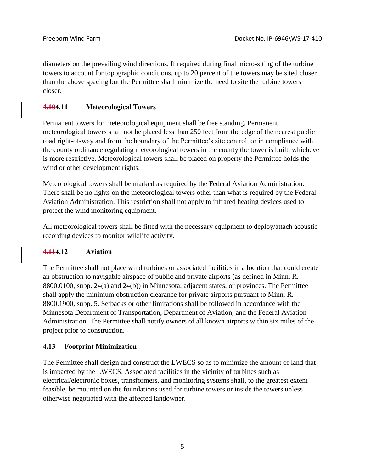diameters on the prevailing wind directions. If required during final micro-siting of the turbine towers to account for topographic conditions, up to 20 percent of the towers may be sited closer than the above spacing but the Permittee shall minimize the need to site the turbine towers closer.

# **4.104.11 Meteorological Towers**

Permanent towers for meteorological equipment shall be free standing. Permanent meteorological towers shall not be placed less than 250 feet from the edge of the nearest public road right-of-way and from the boundary of the Permittee's site control, or in compliance with the county ordinance regulating meteorological towers in the county the tower is built, whichever is more restrictive. Meteorological towers shall be placed on property the Permittee holds the wind or other development rights.

Meteorological towers shall be marked as required by the Federal Aviation Administration. There shall be no lights on the meteorological towers other than what is required by the Federal Aviation Administration. This restriction shall not apply to infrared heating devices used to protect the wind monitoring equipment.

All meteorological towers shall be fitted with the necessary equipment to deploy/attach acoustic recording devices to monitor wildlife activity.

# **4.114.12 Aviation**

The Permittee shall not place wind turbines or associated facilities in a location that could create an obstruction to navigable airspace of public and private airports (as defined in Minn. R. 8800.0100, subp. 24(a) and 24(b)) in Minnesota, adjacent states, or provinces. The Permittee shall apply the minimum obstruction clearance for private airports pursuant to Minn. R. 8800.1900, subp. 5. Setbacks or other limitations shall be followed in accordance with the Minnesota Department of Transportation, Department of Aviation, and the Federal Aviation Administration. The Permittee shall notify owners of all known airports within six miles of the project prior to construction.

# **4.13 Footprint Minimization**

The Permittee shall design and construct the LWECS so as to minimize the amount of land that is impacted by the LWECS. Associated facilities in the vicinity of turbines such as electrical/electronic boxes, transformers, and monitoring systems shall, to the greatest extent feasible, be mounted on the foundations used for turbine towers or inside the towers unless otherwise negotiated with the affected landowner.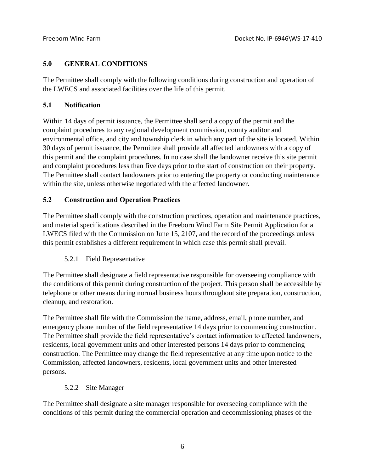### **5.0 GENERAL CONDITIONS**

The Permittee shall comply with the following conditions during construction and operation of the LWECS and associated facilities over the life of this permit.

### **5.1 Notification**

Within 14 days of permit issuance, the Permittee shall send a copy of the permit and the complaint procedures to any regional development commission, county auditor and environmental office, and city and township clerk in which any part of the site is located. Within 30 days of permit issuance, the Permittee shall provide all affected landowners with a copy of this permit and the complaint procedures. In no case shall the landowner receive this site permit and complaint procedures less than five days prior to the start of construction on their property. The Permittee shall contact landowners prior to entering the property or conducting maintenance within the site, unless otherwise negotiated with the affected landowner.

# **5.2 Construction and Operation Practices**

The Permittee shall comply with the construction practices, operation and maintenance practices, and material specifications described in the Freeborn Wind Farm Site Permit Application for a LWECS filed with the Commission on June 15, 2107, and the record of the proceedings unless this permit establishes a different requirement in which case this permit shall prevail.

# 5.2.1 Field Representative

The Permittee shall designate a field representative responsible for overseeing compliance with the conditions of this permit during construction of the project. This person shall be accessible by telephone or other means during normal business hours throughout site preparation, construction, cleanup, and restoration.

The Permittee shall file with the Commission the name, address, email, phone number, and emergency phone number of the field representative 14 days prior to commencing construction. The Permittee shall provide the field representative's contact information to affected landowners, residents, local government units and other interested persons 14 days prior to commencing construction. The Permittee may change the field representative at any time upon notice to the Commission, affected landowners, residents, local government units and other interested persons.

# 5.2.2 Site Manager

The Permittee shall designate a site manager responsible for overseeing compliance with the conditions of this permit during the commercial operation and decommissioning phases of the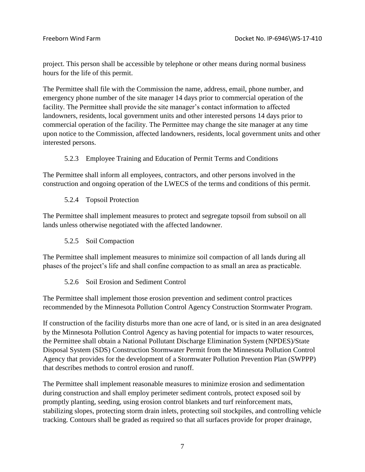project. This person shall be accessible by telephone or other means during normal business hours for the life of this permit.

The Permittee shall file with the Commission the name, address, email, phone number, and emergency phone number of the site manager 14 days prior to commercial operation of the facility. The Permittee shall provide the site manager's contact information to affected landowners, residents, local government units and other interested persons 14 days prior to commercial operation of the facility. The Permittee may change the site manager at any time upon notice to the Commission, affected landowners, residents, local government units and other interested persons.

### 5.2.3 Employee Training and Education of Permit Terms and Conditions

The Permittee shall inform all employees, contractors, and other persons involved in the construction and ongoing operation of the LWECS of the terms and conditions of this permit.

### 5.2.4 Topsoil Protection

The Permittee shall implement measures to protect and segregate topsoil from subsoil on all lands unless otherwise negotiated with the affected landowner.

#### 5.2.5 Soil Compaction

The Permittee shall implement measures to minimize soil compaction of all lands during all phases of the project's life and shall confine compaction to as small an area as practicable.

#### 5.2.6 Soil Erosion and Sediment Control

The Permittee shall implement those erosion prevention and sediment control practices recommended by the Minnesota Pollution Control Agency Construction Stormwater Program.

If construction of the facility disturbs more than one acre of land, or is sited in an area designated by the Minnesota Pollution Control Agency as having potential for impacts to water resources, the Permittee shall obtain a National Pollutant Discharge Elimination System (NPDES)/State Disposal System (SDS) Construction Stormwater Permit from the Minnesota Pollution Control Agency that provides for the development of a Stormwater Pollution Prevention Plan (SWPPP) that describes methods to control erosion and runoff.

The Permittee shall implement reasonable measures to minimize erosion and sedimentation during construction and shall employ perimeter sediment controls, protect exposed soil by promptly planting, seeding, using erosion control blankets and turf reinforcement mats, stabilizing slopes, protecting storm drain inlets, protecting soil stockpiles, and controlling vehicle tracking. Contours shall be graded as required so that all surfaces provide for proper drainage,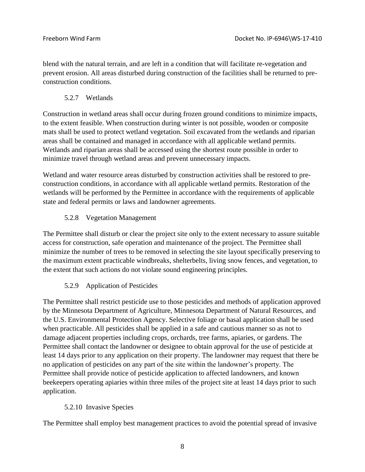blend with the natural terrain, and are left in a condition that will facilitate re-vegetation and prevent erosion. All areas disturbed during construction of the facilities shall be returned to preconstruction conditions.

5.2.7 Wetlands

Construction in wetland areas shall occur during frozen ground conditions to minimize impacts, to the extent feasible. When construction during winter is not possible, wooden or composite mats shall be used to protect wetland vegetation. Soil excavated from the wetlands and riparian areas shall be contained and managed in accordance with all applicable wetland permits. Wetlands and riparian areas shall be accessed using the shortest route possible in order to minimize travel through wetland areas and prevent unnecessary impacts.

Wetland and water resource areas disturbed by construction activities shall be restored to preconstruction conditions, in accordance with all applicable wetland permits. Restoration of the wetlands will be performed by the Permittee in accordance with the requirements of applicable state and federal permits or laws and landowner agreements.

# 5.2.8 Vegetation Management

The Permittee shall disturb or clear the project site only to the extent necessary to assure suitable access for construction, safe operation and maintenance of the project. The Permittee shall minimize the number of trees to be removed in selecting the site layout specifically preserving to the maximum extent practicable windbreaks, shelterbelts, living snow fences, and vegetation, to the extent that such actions do not violate sound engineering principles.

# 5.2.9 Application of Pesticides

The Permittee shall restrict pesticide use to those pesticides and methods of application approved by the Minnesota Department of Agriculture, Minnesota Department of Natural Resources, and the U.S. Environmental Protection Agency. Selective foliage or basal application shall be used when practicable. All pesticides shall be applied in a safe and cautious manner so as not to damage adjacent properties including crops, orchards, tree farms, apiaries, or gardens. The Permittee shall contact the landowner or designee to obtain approval for the use of pesticide at least 14 days prior to any application on their property. The landowner may request that there be no application of pesticides on any part of the site within the landowner's property. The Permittee shall provide notice of pesticide application to affected landowners, and known beekeepers operating apiaries within three miles of the project site at least 14 days prior to such application.

# 5.2.10 Invasive Species

The Permittee shall employ best management practices to avoid the potential spread of invasive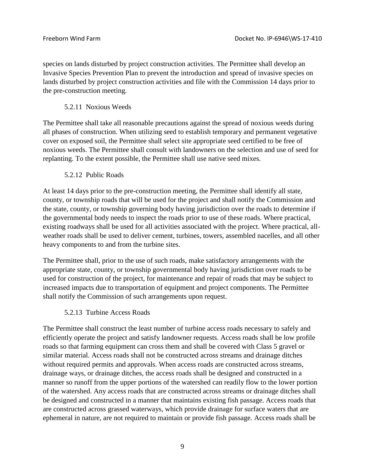species on lands disturbed by project construction activities. The Permittee shall develop an Invasive Species Prevention Plan to prevent the introduction and spread of invasive species on lands disturbed by project construction activities and file with the Commission 14 days prior to the pre-construction meeting.

5.2.11 Noxious Weeds

The Permittee shall take all reasonable precautions against the spread of noxious weeds during all phases of construction. When utilizing seed to establish temporary and permanent vegetative cover on exposed soil, the Permittee shall select site appropriate seed certified to be free of noxious weeds. The Permittee shall consult with landowners on the selection and use of seed for replanting. To the extent possible, the Permittee shall use native seed mixes.

5.2.12 Public Roads

At least 14 days prior to the pre-construction meeting, the Permittee shall identify all state, county, or township roads that will be used for the project and shall notify the Commission and the state, county, or township governing body having jurisdiction over the roads to determine if the governmental body needs to inspect the roads prior to use of these roads. Where practical, existing roadways shall be used for all activities associated with the project. Where practical, allweather roads shall be used to deliver cement, turbines, towers, assembled nacelles, and all other heavy components to and from the turbine sites.

The Permittee shall, prior to the use of such roads, make satisfactory arrangements with the appropriate state, county, or township governmental body having jurisdiction over roads to be used for construction of the project, for maintenance and repair of roads that may be subject to increased impacts due to transportation of equipment and project components. The Permittee shall notify the Commission of such arrangements upon request.

#### 5.2.13 Turbine Access Roads

The Permittee shall construct the least number of turbine access roads necessary to safely and efficiently operate the project and satisfy landowner requests. Access roads shall be low profile roads so that farming equipment can cross them and shall be covered with Class 5 gravel or similar material. Access roads shall not be constructed across streams and drainage ditches without required permits and approvals. When access roads are constructed across streams, drainage ways, or drainage ditches, the access roads shall be designed and constructed in a manner so runoff from the upper portions of the watershed can readily flow to the lower portion of the watershed. Any access roads that are constructed across streams or drainage ditches shall be designed and constructed in a manner that maintains existing fish passage. Access roads that are constructed across grassed waterways, which provide drainage for surface waters that are ephemeral in nature, are not required to maintain or provide fish passage. Access roads shall be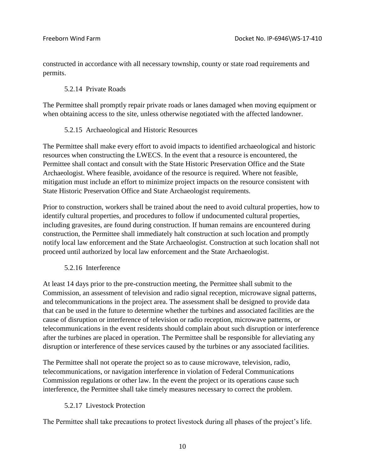constructed in accordance with all necessary township, county or state road requirements and permits.

#### 5.2.14 Private Roads

The Permittee shall promptly repair private roads or lanes damaged when moving equipment or when obtaining access to the site, unless otherwise negotiated with the affected landowner.

### 5.2.15 Archaeological and Historic Resources

The Permittee shall make every effort to avoid impacts to identified archaeological and historic resources when constructing the LWECS. In the event that a resource is encountered, the Permittee shall contact and consult with the State Historic Preservation Office and the State Archaeologist. Where feasible, avoidance of the resource is required. Where not feasible, mitigation must include an effort to minimize project impacts on the resource consistent with State Historic Preservation Office and State Archaeologist requirements.

Prior to construction, workers shall be trained about the need to avoid cultural properties, how to identify cultural properties, and procedures to follow if undocumented cultural properties, including gravesites, are found during construction. If human remains are encountered during construction, the Permittee shall immediately halt construction at such location and promptly notify local law enforcement and the State Archaeologist. Construction at such location shall not proceed until authorized by local law enforcement and the State Archaeologist.

#### 5.2.16 Interference

At least 14 days prior to the pre-construction meeting, the Permittee shall submit to the Commission, an assessment of television and radio signal reception, microwave signal patterns, and telecommunications in the project area. The assessment shall be designed to provide data that can be used in the future to determine whether the turbines and associated facilities are the cause of disruption or interference of television or radio reception, microwave patterns, or telecommunications in the event residents should complain about such disruption or interference after the turbines are placed in operation. The Permittee shall be responsible for alleviating any disruption or interference of these services caused by the turbines or any associated facilities.

The Permittee shall not operate the project so as to cause microwave, television, radio, telecommunications, or navigation interference in violation of Federal Communications Commission regulations or other law. In the event the project or its operations cause such interference, the Permittee shall take timely measures necessary to correct the problem.

# 5.2.17 Livestock Protection

The Permittee shall take precautions to protect livestock during all phases of the project's life.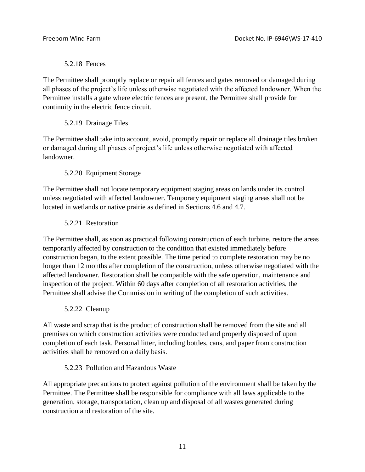### 5.2.18 Fences

The Permittee shall promptly replace or repair all fences and gates removed or damaged during all phases of the project's life unless otherwise negotiated with the affected landowner. When the Permittee installs a gate where electric fences are present, the Permittee shall provide for continuity in the electric fence circuit.

### 5.2.19 Drainage Tiles

The Permittee shall take into account, avoid, promptly repair or replace all drainage tiles broken or damaged during all phases of project's life unless otherwise negotiated with affected landowner.

# 5.2.20 Equipment Storage

The Permittee shall not locate temporary equipment staging areas on lands under its control unless negotiated with affected landowner. Temporary equipment staging areas shall not be located in wetlands or native prairie as defined in Sections 4.6 and 4.7.

### 5.2.21 Restoration

The Permittee shall, as soon as practical following construction of each turbine, restore the areas temporarily affected by construction to the condition that existed immediately before construction began, to the extent possible. The time period to complete restoration may be no longer than 12 months after completion of the construction, unless otherwise negotiated with the affected landowner. Restoration shall be compatible with the safe operation, maintenance and inspection of the project. Within 60 days after completion of all restoration activities, the Permittee shall advise the Commission in writing of the completion of such activities.

#### 5.2.22 Cleanup

All waste and scrap that is the product of construction shall be removed from the site and all premises on which construction activities were conducted and properly disposed of upon completion of each task. Personal litter, including bottles, cans, and paper from construction activities shall be removed on a daily basis.

#### 5.2.23 Pollution and Hazardous Waste

All appropriate precautions to protect against pollution of the environment shall be taken by the Permittee. The Permittee shall be responsible for compliance with all laws applicable to the generation, storage, transportation, clean up and disposal of all wastes generated during construction and restoration of the site.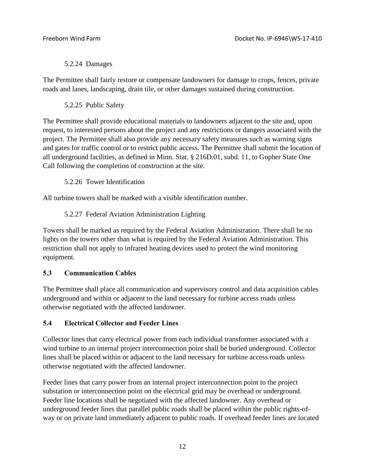#### 5.2.24 Damages

The Permittee shall fairly restore or compensate landowners for damage to crops, fences, private roads and lanes, landscaping, drain tile, or other damages sustained during construction.

5.2.25 Public Safety

The Permittee shall provide educational materials to landowners adjacent to the site and, upon request, to interested persons about the project and any restrictions or dangers associated with the project. The Permittee shall also provide any necessary safety measures such as warning signs and gates for traffic control or to restrict public access. The Permittee shall submit the location of all underground facilities, as defined in Minn. Stat. § 216D.01, subd. 11, to Gopher State One Call following the completion of construction at the site.

5.2.26 Tower Identification

All turbine towers shall be marked with a visible identification number.

5.2.27 Federal Aviation Administration Lighting

Towers shall be marked as required by the Federal Aviation Administration. There shall be no lights on the towers other than what is required by the Federal Aviation Administration. This restriction shall not apply to infrared heating devices used to protect the wind monitoring equipment.

# **5.3 Communication Cables**

The Permittee shall place all communication and supervisory control and data acquisition cables underground and within or adjacent to the land necessary for turbine access roads unless otherwise negotiated with the affected landowner.

# **5.4 Electrical Collector and Feeder Lines**

Collector lines that carry electrical power from each individual transformer associated with a wind turbine to an internal project interconnection point shall be buried underground. Collector lines shall be placed within or adjacent to the land necessary for turbine access roads unless otherwise negotiated with the affected landowner.

Feeder lines that carry power from an internal project interconnection point to the project substation or interconnection point on the electrical grid may be overhead or underground. Feeder line locations shall be negotiated with the affected landowner. Any overhead or underground feeder lines that parallel public roads shall be placed within the public rights-ofway or on private land immediately adjacent to public roads. If overhead feeder lines are located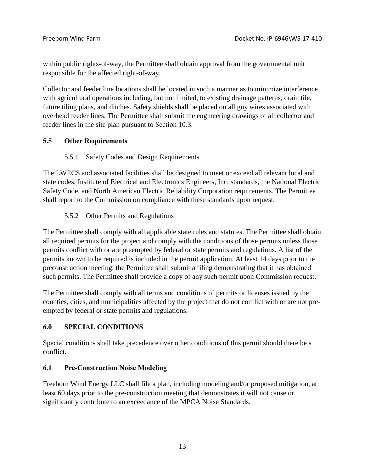within public rights-of-way, the Permittee shall obtain approval from the governmental unit responsible for the affected right-of-way.

Collector and feeder line locations shall be located in such a manner as to minimize interference with agricultural operations including, but not limited, to existing drainage patterns, drain tile, future tiling plans, and ditches. Safety shields shall be placed on all guy wires associated with overhead feeder lines. The Permittee shall submit the engineering drawings of all collector and feeder lines in the site plan pursuant to Section 10.3.

# **5.5 Other Requirements**

### 5.5.1 Safety Codes and Design Requirements

The LWECS and associated facilities shall be designed to meet or exceed all relevant local and state codes, Institute of Electrical and Electronics Engineers, Inc. standards, the National Electric Safety Code, and North American Electric Reliability Corporation requirements. The Permittee shall report to the Commission on compliance with these standards upon request.

### 5.5.2 Other Permits and Regulations

The Permittee shall comply with all applicable state rules and statutes. The Permittee shall obtain all required permits for the project and comply with the conditions of those permits unless those permits conflict with or are preempted by federal or state permits and regulations. A list of the permits known to be required is included in the permit application. At least 14 days prior to the preconstruction meeting, the Permittee shall submit a filing demonstrating that it has obtained such permits. The Permittee shall provide a copy of any such permit upon Commission request.

The Permittee shall comply with all terms and conditions of permits or licenses issued by the counties, cities, and municipalities affected by the project that do not conflict with or are not preempted by federal or state permits and regulations.

#### **6.0 SPECIAL CONDITIONS**

Special conditions shall take precedence over other conditions of this permit should there be a conflict.

#### **6.1 Pre-Construction Noise Modeling**

Freeborn Wind Energy LLC shall file a plan, including modeling and/or proposed mitigation, at least 60 days prior to the pre-construction meeting that demonstrates it will not cause or significantly contribute to an exceedance of the MPCA Noise Standards.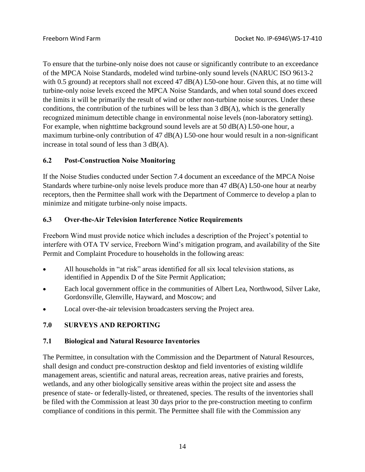To ensure that the turbine-only noise does not cause or significantly contribute to an exceedance of the MPCA Noise Standards, modeled wind turbine-only sound levels (NARUC ISO 9613-2 with 0.5 ground) at receptors shall not exceed 47 dB(A) L50-one hour. Given this, at no time will turbine-only noise levels exceed the MPCA Noise Standards, and when total sound does exceed the limits it will be primarily the result of wind or other non-turbine noise sources. Under these conditions, the contribution of the turbines will be less than  $3$  dB(A), which is the generally recognized minimum detectible change in environmental noise levels (non-laboratory setting). For example, when nighttime background sound levels are at 50 dB(A) L50-one hour, a maximum turbine-only contribution of 47 dB(A) L50-one hour would result in a non-significant increase in total sound of less than 3 dB(A).

# **6.2 Post-Construction Noise Monitoring**

If the Noise Studies conducted under Section 7.4 document an exceedance of the MPCA Noise Standards where turbine-only noise levels produce more than 47 dB(A) L50-one hour at nearby receptors, then the Permittee shall work with the Department of Commerce to develop a plan to minimize and mitigate turbine-only noise impacts.

# **6.3 Over-the-Air Television Interference Notice Requirements**

Freeborn Wind must provide notice which includes a description of the Project's potential to interfere with OTA TV service, Freeborn Wind's mitigation program, and availability of the Site Permit and Complaint Procedure to households in the following areas:

- All households in "at risk" areas identified for all six local television stations, as identified in Appendix D of the Site Permit Application;
- Each local government office in the communities of Albert Lea, Northwood, Silver Lake, Gordonsville, Glenville, Hayward, and Moscow; and
- Local over-the-air television broadcasters serving the Project area.

# **7.0 SURVEYS AND REPORTING**

# **7.1 Biological and Natural Resource Inventories**

The Permittee, in consultation with the Commission and the Department of Natural Resources, shall design and conduct pre-construction desktop and field inventories of existing wildlife management areas, scientific and natural areas, recreation areas, native prairies and forests, wetlands, and any other biologically sensitive areas within the project site and assess the presence of state- or federally-listed, or threatened, species. The results of the inventories shall be filed with the Commission at least 30 days prior to the pre-construction meeting to confirm compliance of conditions in this permit. The Permittee shall file with the Commission any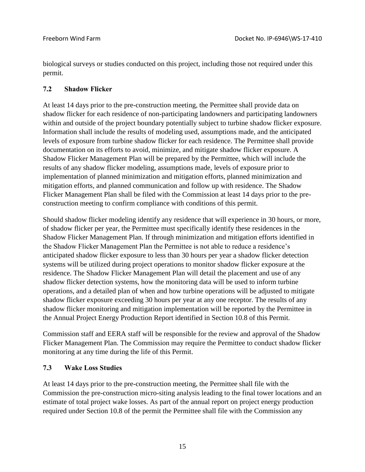biological surveys or studies conducted on this project, including those not required under this permit.

### **7.2 Shadow Flicker**

At least 14 days prior to the pre-construction meeting, the Permittee shall provide data on shadow flicker for each residence of non-participating landowners and participating landowners within and outside of the project boundary potentially subject to turbine shadow flicker exposure. Information shall include the results of modeling used, assumptions made, and the anticipated levels of exposure from turbine shadow flicker for each residence. The Permittee shall provide documentation on its efforts to avoid, minimize, and mitigate shadow flicker exposure. A Shadow Flicker Management Plan will be prepared by the Permittee, which will include the results of any shadow flicker modeling, assumptions made, levels of exposure prior to implementation of planned minimization and mitigation efforts, planned minimization and mitigation efforts, and planned communication and follow up with residence. The Shadow Flicker Management Plan shall be filed with the Commission at least 14 days prior to the preconstruction meeting to confirm compliance with conditions of this permit.

Should shadow flicker modeling identify any residence that will experience in 30 hours, or more, of shadow flicker per year, the Permittee must specifically identify these residences in the Shadow Flicker Management Plan. If through minimization and mitigation efforts identified in the Shadow Flicker Management Plan the Permittee is not able to reduce a residence's anticipated shadow flicker exposure to less than 30 hours per year a shadow flicker detection systems will be utilized during project operations to monitor shadow flicker exposure at the residence. The Shadow Flicker Management Plan will detail the placement and use of any shadow flicker detection systems, how the monitoring data will be used to inform turbine operations, and a detailed plan of when and how turbine operations will be adjusted to mitigate shadow flicker exposure exceeding 30 hours per year at any one receptor. The results of any shadow flicker monitoring and mitigation implementation will be reported by the Permittee in the Annual Project Energy Production Report identified in Section 10.8 of this Permit.

Commission staff and EERA staff will be responsible for the review and approval of the Shadow Flicker Management Plan. The Commission may require the Permittee to conduct shadow flicker monitoring at any time during the life of this Permit.

# **7.3 Wake Loss Studies**

At least 14 days prior to the pre-construction meeting, the Permittee shall file with the Commission the pre-construction micro-siting analysis leading to the final tower locations and an estimate of total project wake losses. As part of the annual report on project energy production required under Section 10.8 of the permit the Permittee shall file with the Commission any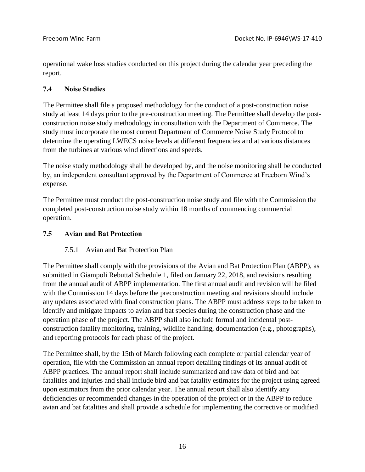operational wake loss studies conducted on this project during the calendar year preceding the report.

### **7.4 Noise Studies**

The Permittee shall file a proposed methodology for the conduct of a post-construction noise study at least 14 days prior to the pre-construction meeting. The Permittee shall develop the postconstruction noise study methodology in consultation with the Department of Commerce. The study must incorporate the most current Department of Commerce Noise Study Protocol to determine the operating LWECS noise levels at different frequencies and at various distances from the turbines at various wind directions and speeds.

The noise study methodology shall be developed by, and the noise monitoring shall be conducted by, an independent consultant approved by the Department of Commerce at Freeborn Wind's expense.

The Permittee must conduct the post-construction noise study and file with the Commission the completed post-construction noise study within 18 months of commencing commercial operation.

### **7.5 Avian and Bat Protection**

# 7.5.1 Avian and Bat Protection Plan

The Permittee shall comply with the provisions of the Avian and Bat Protection Plan (ABPP), as submitted in Giampoli Rebuttal Schedule 1, filed on January 22, 2018, and revisions resulting from the annual audit of ABPP implementation. The first annual audit and revision will be filed with the Commission 14 days before the preconstruction meeting and revisions should include any updates associated with final construction plans. The ABPP must address steps to be taken to identify and mitigate impacts to avian and bat species during the construction phase and the operation phase of the project. The ABPP shall also include formal and incidental postconstruction fatality monitoring, training, wildlife handling, documentation (e.g., photographs), and reporting protocols for each phase of the project.

The Permittee shall, by the 15th of March following each complete or partial calendar year of operation, file with the Commission an annual report detailing findings of its annual audit of ABPP practices. The annual report shall include summarized and raw data of bird and bat fatalities and injuries and shall include bird and bat fatality estimates for the project using agreed upon estimators from the prior calendar year. The annual report shall also identify any deficiencies or recommended changes in the operation of the project or in the ABPP to reduce avian and bat fatalities and shall provide a schedule for implementing the corrective or modified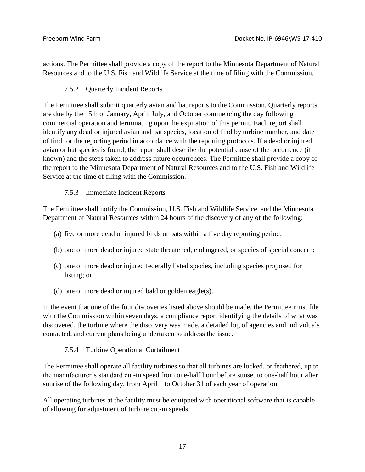actions. The Permittee shall provide a copy of the report to the Minnesota Department of Natural Resources and to the U.S. Fish and Wildlife Service at the time of filing with the Commission.

### 7.5.2 Quarterly Incident Reports

The Permittee shall submit quarterly avian and bat reports to the Commission. Quarterly reports are due by the 15th of January, April, July, and October commencing the day following commercial operation and terminating upon the expiration of this permit. Each report shall identify any dead or injured avian and bat species, location of find by turbine number, and date of find for the reporting period in accordance with the reporting protocols. If a dead or injured avian or bat species is found, the report shall describe the potential cause of the occurrence (if known) and the steps taken to address future occurrences. The Permittee shall provide a copy of the report to the Minnesota Department of Natural Resources and to the U.S. Fish and Wildlife Service at the time of filing with the Commission.

### 7.5.3 Immediate Incident Reports

The Permittee shall notify the Commission, U.S. Fish and Wildlife Service, and the Minnesota Department of Natural Resources within 24 hours of the discovery of any of the following:

- (a) five or more dead or injured birds or bats within a five day reporting period;
- (b) one or more dead or injured state threatened, endangered, or species of special concern;
- (c) one or more dead or injured federally listed species, including species proposed for listing; or
- (d) one or more dead or injured bald or golden eagle(s).

In the event that one of the four discoveries listed above should be made, the Permittee must file with the Commission within seven days, a compliance report identifying the details of what was discovered, the turbine where the discovery was made, a detailed log of agencies and individuals contacted, and current plans being undertaken to address the issue.

#### 7.5.4 Turbine Operational Curtailment

The Permittee shall operate all facility turbines so that all turbines are locked, or feathered, up to the manufacturer's standard cut-in speed from one-half hour before sunset to one-half hour after sunrise of the following day, from April 1 to October 31 of each year of operation.

All operating turbines at the facility must be equipped with operational software that is capable of allowing for adjustment of turbine cut-in speeds.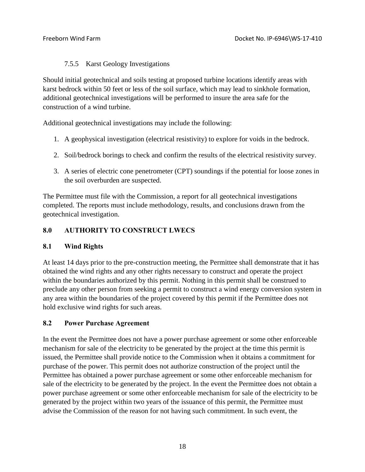### 7.5.5 Karst Geology Investigations

Should initial geotechnical and soils testing at proposed turbine locations identify areas with karst bedrock within 50 feet or less of the soil surface, which may lead to sinkhole formation, additional geotechnical investigations will be performed to insure the area safe for the construction of a wind turbine.

Additional geotechnical investigations may include the following:

- 1. A geophysical investigation (electrical resistivity) to explore for voids in the bedrock.
- 2. Soil/bedrock borings to check and confirm the results of the electrical resistivity survey.
- 3. A series of electric cone penetrometer (CPT) soundings if the potential for loose zones in the soil overburden are suspected.

The Permittee must file with the Commission, a report for all geotechnical investigations completed. The reports must include methodology, results, and conclusions drawn from the geotechnical investigation.

### **8.0 AUTHORITY TO CONSTRUCT LWECS**

#### **8.1 Wind Rights**

At least 14 days prior to the pre-construction meeting, the Permittee shall demonstrate that it has obtained the wind rights and any other rights necessary to construct and operate the project within the boundaries authorized by this permit. Nothing in this permit shall be construed to preclude any other person from seeking a permit to construct a wind energy conversion system in any area within the boundaries of the project covered by this permit if the Permittee does not hold exclusive wind rights for such areas.

#### **8.2 Power Purchase Agreement**

In the event the Permittee does not have a power purchase agreement or some other enforceable mechanism for sale of the electricity to be generated by the project at the time this permit is issued, the Permittee shall provide notice to the Commission when it obtains a commitment for purchase of the power. This permit does not authorize construction of the project until the Permittee has obtained a power purchase agreement or some other enforceable mechanism for sale of the electricity to be generated by the project. In the event the Permittee does not obtain a power purchase agreement or some other enforceable mechanism for sale of the electricity to be generated by the project within two years of the issuance of this permit, the Permittee must advise the Commission of the reason for not having such commitment. In such event, the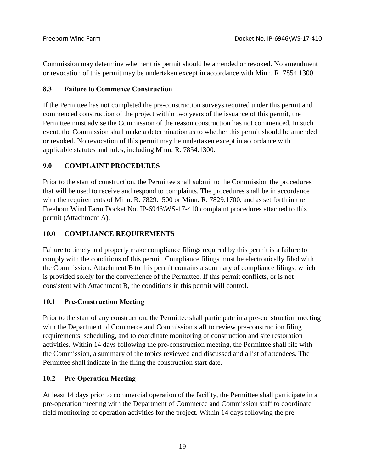Commission may determine whether this permit should be amended or revoked. No amendment or revocation of this permit may be undertaken except in accordance with Minn. R. 7854.1300.

### **8.3 Failure to Commence Construction**

If the Permittee has not completed the pre-construction surveys required under this permit and commenced construction of the project within two years of the issuance of this permit, the Permittee must advise the Commission of the reason construction has not commenced. In such event, the Commission shall make a determination as to whether this permit should be amended or revoked. No revocation of this permit may be undertaken except in accordance with applicable statutes and rules, including Minn. R. 7854.1300.

# **9.0 COMPLAINT PROCEDURES**

Prior to the start of construction, the Permittee shall submit to the Commission the procedures that will be used to receive and respond to complaints. The procedures shall be in accordance with the requirements of Minn. R. 7829.1500 or Minn. R. 7829.1700, and as set forth in the Freeborn Wind Farm Docket No. IP-6946\WS-17-410 complaint procedures attached to this permit (Attachment A).

### **10.0 COMPLIANCE REQUIREMENTS**

Failure to timely and properly make compliance filings required by this permit is a failure to comply with the conditions of this permit. Compliance filings must be electronically filed with the Commission. Attachment B to this permit contains a summary of compliance filings, which is provided solely for the convenience of the Permittee. If this permit conflicts, or is not consistent with Attachment B, the conditions in this permit will control.

#### **10.1 Pre-Construction Meeting**

Prior to the start of any construction, the Permittee shall participate in a pre-construction meeting with the Department of Commerce and Commission staff to review pre-construction filing requirements, scheduling, and to coordinate monitoring of construction and site restoration activities. Within 14 days following the pre-construction meeting, the Permittee shall file with the Commission, a summary of the topics reviewed and discussed and a list of attendees. The Permittee shall indicate in the filing the construction start date.

# **10.2 Pre-Operation Meeting**

At least 14 days prior to commercial operation of the facility, the Permittee shall participate in a pre-operation meeting with the Department of Commerce and Commission staff to coordinate field monitoring of operation activities for the project. Within 14 days following the pre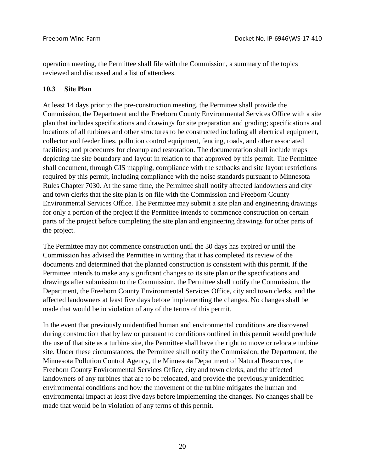operation meeting, the Permittee shall file with the Commission, a summary of the topics reviewed and discussed and a list of attendees.

#### **10.3 Site Plan**

At least 14 days prior to the pre-construction meeting, the Permittee shall provide the Commission, the Department and the Freeborn County Environmental Services Office with a site plan that includes specifications and drawings for site preparation and grading; specifications and locations of all turbines and other structures to be constructed including all electrical equipment, collector and feeder lines, pollution control equipment, fencing, roads, and other associated facilities; and procedures for cleanup and restoration. The documentation shall include maps depicting the site boundary and layout in relation to that approved by this permit. The Permittee shall document, through GIS mapping, compliance with the setbacks and site layout restrictions required by this permit, including compliance with the noise standards pursuant to Minnesota Rules Chapter 7030. At the same time, the Permittee shall notify affected landowners and city and town clerks that the site plan is on file with the Commission and Freeborn County Environmental Services Office. The Permittee may submit a site plan and engineering drawings for only a portion of the project if the Permittee intends to commence construction on certain parts of the project before completing the site plan and engineering drawings for other parts of the project.

The Permittee may not commence construction until the 30 days has expired or until the Commission has advised the Permittee in writing that it has completed its review of the documents and determined that the planned construction is consistent with this permit. If the Permittee intends to make any significant changes to its site plan or the specifications and drawings after submission to the Commission, the Permittee shall notify the Commission, the Department, the Freeborn County Environmental Services Office, city and town clerks, and the affected landowners at least five days before implementing the changes. No changes shall be made that would be in violation of any of the terms of this permit.

In the event that previously unidentified human and environmental conditions are discovered during construction that by law or pursuant to conditions outlined in this permit would preclude the use of that site as a turbine site, the Permittee shall have the right to move or relocate turbine site. Under these circumstances, the Permittee shall notify the Commission, the Department, the Minnesota Pollution Control Agency, the Minnesota Department of Natural Resources, the Freeborn County Environmental Services Office, city and town clerks, and the affected landowners of any turbines that are to be relocated, and provide the previously unidentified environmental conditions and how the movement of the turbine mitigates the human and environmental impact at least five days before implementing the changes. No changes shall be made that would be in violation of any terms of this permit.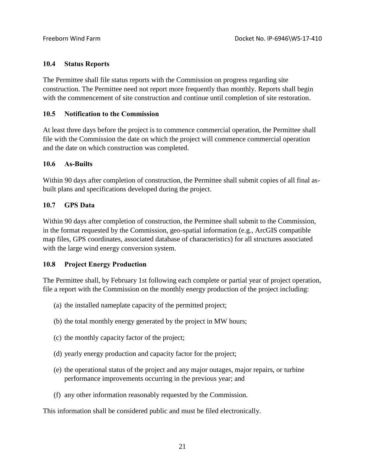#### **10.4 Status Reports**

The Permittee shall file status reports with the Commission on progress regarding site construction. The Permittee need not report more frequently than monthly. Reports shall begin with the commencement of site construction and continue until completion of site restoration.

#### **10.5 Notification to the Commission**

At least three days before the project is to commence commercial operation, the Permittee shall file with the Commission the date on which the project will commence commercial operation and the date on which construction was completed.

#### **10.6 As-Builts**

Within 90 days after completion of construction, the Permittee shall submit copies of all final asbuilt plans and specifications developed during the project.

#### **10.7 GPS Data**

Within 90 days after completion of construction, the Permittee shall submit to the Commission, in the format requested by the Commission, geo-spatial information (e.g., ArcGIS compatible map files, GPS coordinates, associated database of characteristics) for all structures associated with the large wind energy conversion system.

#### **10.8 Project Energy Production**

The Permittee shall, by February 1st following each complete or partial year of project operation, file a report with the Commission on the monthly energy production of the project including:

- (a) the installed nameplate capacity of the permitted project;
- (b) the total monthly energy generated by the project in MW hours;
- (c) the monthly capacity factor of the project;
- (d) yearly energy production and capacity factor for the project;
- (e) the operational status of the project and any major outages, major repairs, or turbine performance improvements occurring in the previous year; and
- (f) any other information reasonably requested by the Commission.

This information shall be considered public and must be filed electronically.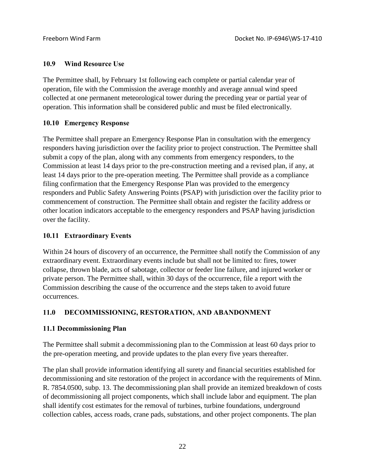### **10.9 Wind Resource Use**

The Permittee shall, by February 1st following each complete or partial calendar year of operation, file with the Commission the average monthly and average annual wind speed collected at one permanent meteorological tower during the preceding year or partial year of operation. This information shall be considered public and must be filed electronically.

### **10.10 Emergency Response**

The Permittee shall prepare an Emergency Response Plan in consultation with the emergency responders having jurisdiction over the facility prior to project construction. The Permittee shall submit a copy of the plan, along with any comments from emergency responders, to the Commission at least 14 days prior to the pre-construction meeting and a revised plan, if any, at least 14 days prior to the pre-operation meeting. The Permittee shall provide as a compliance filing confirmation that the Emergency Response Plan was provided to the emergency responders and Public Safety Answering Points (PSAP) with jurisdiction over the facility prior to commencement of construction. The Permittee shall obtain and register the facility address or other location indicators acceptable to the emergency responders and PSAP having jurisdiction over the facility.

#### **10.11 Extraordinary Events**

Within 24 hours of discovery of an occurrence, the Permittee shall notify the Commission of any extraordinary event. Extraordinary events include but shall not be limited to: fires, tower collapse, thrown blade, acts of sabotage, collector or feeder line failure, and injured worker or private person. The Permittee shall, within 30 days of the occurrence, file a report with the Commission describing the cause of the occurrence and the steps taken to avoid future occurrences.

# **11.0 DECOMMISSIONING, RESTORATION, AND ABANDONMENT**

# **11.1 Decommissioning Plan**

The Permittee shall submit a decommissioning plan to the Commission at least 60 days prior to the pre-operation meeting, and provide updates to the plan every five years thereafter.

The plan shall provide information identifying all surety and financial securities established for decommissioning and site restoration of the project in accordance with the requirements of Minn. R. 7854.0500, subp. 13. The decommissioning plan shall provide an itemized breakdown of costs of decommissioning all project components, which shall include labor and equipment. The plan shall identify cost estimates for the removal of turbines, turbine foundations, underground collection cables, access roads, crane pads, substations, and other project components. The plan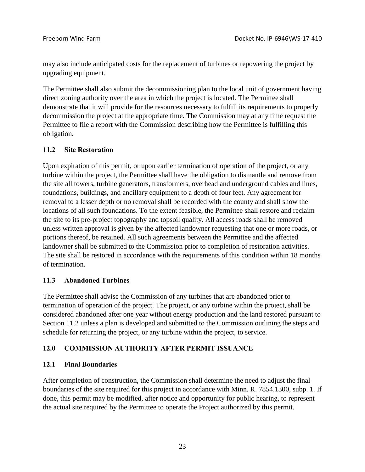may also include anticipated costs for the replacement of turbines or repowering the project by upgrading equipment.

The Permittee shall also submit the decommissioning plan to the local unit of government having direct zoning authority over the area in which the project is located. The Permittee shall demonstrate that it will provide for the resources necessary to fulfill its requirements to properly decommission the project at the appropriate time. The Commission may at any time request the Permittee to file a report with the Commission describing how the Permittee is fulfilling this obligation.

### **11.2 Site Restoration**

Upon expiration of this permit, or upon earlier termination of operation of the project, or any turbine within the project, the Permittee shall have the obligation to dismantle and remove from the site all towers, turbine generators, transformers, overhead and underground cables and lines, foundations, buildings, and ancillary equipment to a depth of four feet. Any agreement for removal to a lesser depth or no removal shall be recorded with the county and shall show the locations of all such foundations. To the extent feasible, the Permittee shall restore and reclaim the site to its pre-project topography and topsoil quality. All access roads shall be removed unless written approval is given by the affected landowner requesting that one or more roads, or portions thereof, be retained. All such agreements between the Permittee and the affected landowner shall be submitted to the Commission prior to completion of restoration activities. The site shall be restored in accordance with the requirements of this condition within 18 months of termination.

#### **11.3 Abandoned Turbines**

The Permittee shall advise the Commission of any turbines that are abandoned prior to termination of operation of the project. The project, or any turbine within the project, shall be considered abandoned after one year without energy production and the land restored pursuant to Section 11.2 unless a plan is developed and submitted to the Commission outlining the steps and schedule for returning the project, or any turbine within the project, to service.

# **12.0 COMMISSION AUTHORITY AFTER PERMIT ISSUANCE**

# **12.1 Final Boundaries**

After completion of construction, the Commission shall determine the need to adjust the final boundaries of the site required for this project in accordance with Minn. R. 7854.1300, subp. 1. If done, this permit may be modified, after notice and opportunity for public hearing, to represent the actual site required by the Permittee to operate the Project authorized by this permit.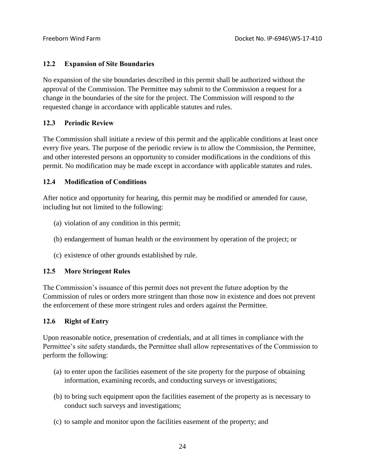### **12.2 Expansion of Site Boundaries**

No expansion of the site boundaries described in this permit shall be authorized without the approval of the Commission. The Permittee may submit to the Commission a request for a change in the boundaries of the site for the project. The Commission will respond to the requested change in accordance with applicable statutes and rules.

### **12.3 Periodic Review**

The Commission shall initiate a review of this permit and the applicable conditions at least once every five years. The purpose of the periodic review is to allow the Commission, the Permittee, and other interested persons an opportunity to consider modifications in the conditions of this permit. No modification may be made except in accordance with applicable statutes and rules.

### **12.4 Modification of Conditions**

After notice and opportunity for hearing, this permit may be modified or amended for cause, including but not limited to the following:

- (a) violation of any condition in this permit;
- (b) endangerment of human health or the environment by operation of the project; or
- (c) existence of other grounds established by rule.

# **12.5 More Stringent Rules**

The Commission's issuance of this permit does not prevent the future adoption by the Commission of rules or orders more stringent than those now in existence and does not prevent the enforcement of these more stringent rules and orders against the Permittee.

# **12.6 Right of Entry**

Upon reasonable notice, presentation of credentials, and at all times in compliance with the Permittee's site safety standards, the Permittee shall allow representatives of the Commission to perform the following:

- (a) to enter upon the facilities easement of the site property for the purpose of obtaining information, examining records, and conducting surveys or investigations;
- (b) to bring such equipment upon the facilities easement of the property as is necessary to conduct such surveys and investigations;
- (c) to sample and monitor upon the facilities easement of the property; and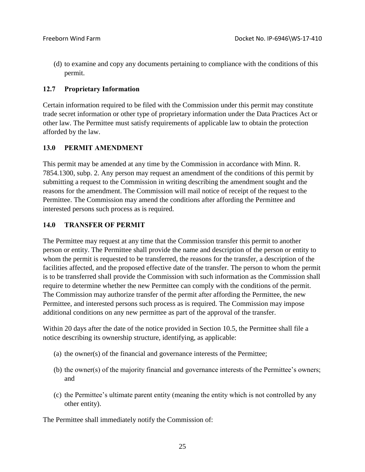(d) to examine and copy any documents pertaining to compliance with the conditions of this permit.

### **12.7 Proprietary Information**

Certain information required to be filed with the Commission under this permit may constitute trade secret information or other type of proprietary information under the Data Practices Act or other law. The Permittee must satisfy requirements of applicable law to obtain the protection afforded by the law.

# **13.0 PERMIT AMENDMENT**

This permit may be amended at any time by the Commission in accordance with Minn. R. 7854.1300, subp. 2. Any person may request an amendment of the conditions of this permit by submitting a request to the Commission in writing describing the amendment sought and the reasons for the amendment. The Commission will mail notice of receipt of the request to the Permittee. The Commission may amend the conditions after affording the Permittee and interested persons such process as is required.

### **14.0 TRANSFER OF PERMIT**

The Permittee may request at any time that the Commission transfer this permit to another person or entity. The Permittee shall provide the name and description of the person or entity to whom the permit is requested to be transferred, the reasons for the transfer, a description of the facilities affected, and the proposed effective date of the transfer. The person to whom the permit is to be transferred shall provide the Commission with such information as the Commission shall require to determine whether the new Permittee can comply with the conditions of the permit. The Commission may authorize transfer of the permit after affording the Permittee, the new Permittee, and interested persons such process as is required. The Commission may impose additional conditions on any new permittee as part of the approval of the transfer.

Within 20 days after the date of the notice provided in Section 10.5, the Permittee shall file a notice describing its ownership structure, identifying, as applicable:

- (a) the owner(s) of the financial and governance interests of the Permittee;
- (b) the owner(s) of the majority financial and governance interests of the Permittee's owners; and
- (c) the Permittee's ultimate parent entity (meaning the entity which is not controlled by any other entity).

The Permittee shall immediately notify the Commission of: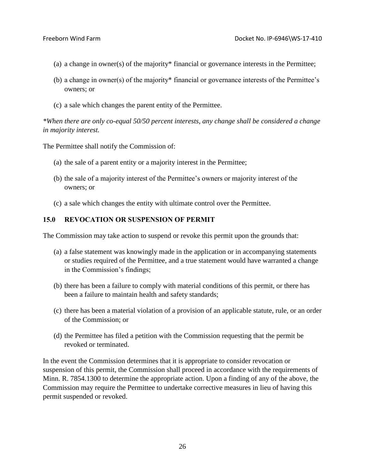- (a) a change in owner(s) of the majority\* financial or governance interests in the Permittee;
- (b) a change in owner(s) of the majority\* financial or governance interests of the Permittee's owners; or
- (c) a sale which changes the parent entity of the Permittee.

*\*When there are only co-equal 50/50 percent interests, any change shall be considered a change in majority interest.*

The Permittee shall notify the Commission of:

- (a) the sale of a parent entity or a majority interest in the Permittee;
- (b) the sale of a majority interest of the Permittee's owners or majority interest of the owners; or
- (c) a sale which changes the entity with ultimate control over the Permittee.

#### **15.0 REVOCATION OR SUSPENSION OF PERMIT**

The Commission may take action to suspend or revoke this permit upon the grounds that:

- (a) a false statement was knowingly made in the application or in accompanying statements or studies required of the Permittee, and a true statement would have warranted a change in the Commission's findings;
- (b) there has been a failure to comply with material conditions of this permit, or there has been a failure to maintain health and safety standards;
- (c) there has been a material violation of a provision of an applicable statute, rule, or an order of the Commission; or
- (d) the Permittee has filed a petition with the Commission requesting that the permit be revoked or terminated.

In the event the Commission determines that it is appropriate to consider revocation or suspension of this permit, the Commission shall proceed in accordance with the requirements of Minn. R. 7854.1300 to determine the appropriate action. Upon a finding of any of the above, the Commission may require the Permittee to undertake corrective measures in lieu of having this permit suspended or revoked.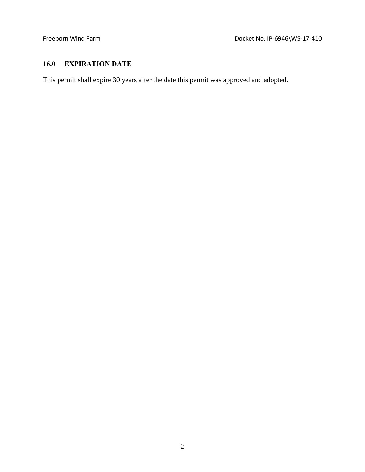# **16.0 EXPIRATION DATE**

This permit shall expire 30 years after the date this permit was approved and adopted.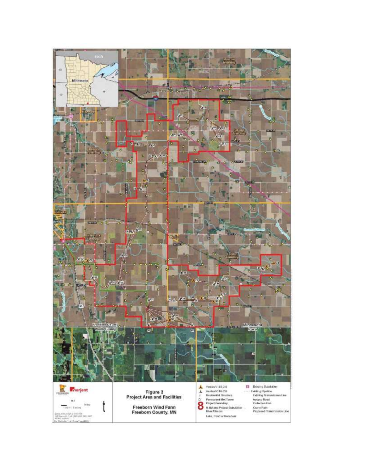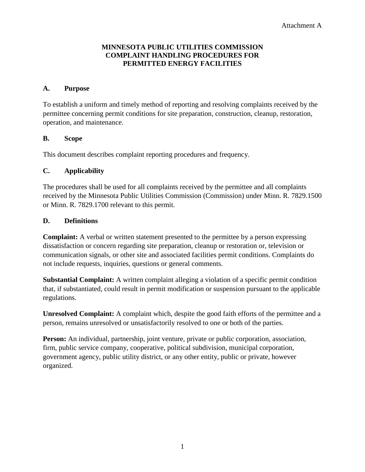#### **MINNESOTA PUBLIC UTILITIES COMMISSION COMPLAINT HANDLING PROCEDURES FOR PERMITTED ENERGY FACILITIES**

#### **A. Purpose**

To establish a uniform and timely method of reporting and resolving complaints received by the permittee concerning permit conditions for site preparation, construction, cleanup, restoration, operation, and maintenance.

#### **B. Scope**

This document describes complaint reporting procedures and frequency.

#### **C. Applicability**

The procedures shall be used for all complaints received by the permittee and all complaints received by the Minnesota Public Utilities Commission (Commission) under Minn. R. 7829.1500 or Minn. R. 7829.1700 relevant to this permit.

#### **D. Definitions**

**Complaint:** A verbal or written statement presented to the permittee by a person expressing dissatisfaction or concern regarding site preparation, cleanup or restoration or, television or communication signals, or other site and associated facilities permit conditions. Complaints do not include requests, inquiries, questions or general comments.

**Substantial Complaint:** A written complaint alleging a violation of a specific permit condition that, if substantiated, could result in permit modification or suspension pursuant to the applicable regulations.

**Unresolved Complaint:** A complaint which, despite the good faith efforts of the permittee and a person, remains unresolved or unsatisfactorily resolved to one or both of the parties.

**Person:** An individual, partnership, joint venture, private or public corporation, association, firm, public service company, cooperative, political subdivision, municipal corporation, government agency, public utility district, or any other entity, public or private, however organized.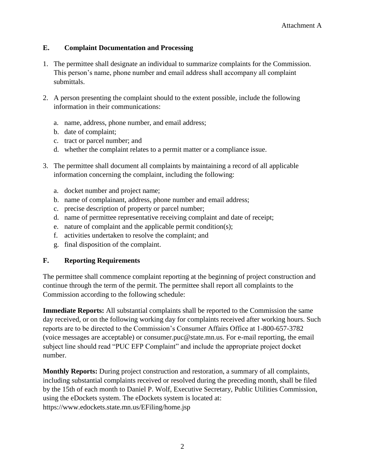# **E. Complaint Documentation and Processing**

- 1. The permittee shall designate an individual to summarize complaints for the Commission. This person's name, phone number and email address shall accompany all complaint submittals.
- 2. A person presenting the complaint should to the extent possible, include the following information in their communications:
	- a. name, address, phone number, and email address;
	- b. date of complaint;
	- c. tract or parcel number; and
	- d. whether the complaint relates to a permit matter or a compliance issue.
- 3. The permittee shall document all complaints by maintaining a record of all applicable information concerning the complaint, including the following:
	- a. docket number and project name;
	- b. name of complainant, address, phone number and email address;
	- c. precise description of property or parcel number;
	- d. name of permittee representative receiving complaint and date of receipt;
	- e. nature of complaint and the applicable permit condition(s);
	- f. activities undertaken to resolve the complaint; and
	- g. final disposition of the complaint.

# **F. Reporting Requirements**

The permittee shall commence complaint reporting at the beginning of project construction and continue through the term of the permit. The permittee shall report all complaints to the Commission according to the following schedule:

**Immediate Reports:** All substantial complaints shall be reported to the Commission the same day received, or on the following working day for complaints received after working hours. Such reports are to be directed to the Commission's Consumer Affairs Office at 1-800-657-3782 (voice messages are acceptable) or consumer.puc@state.mn.us. For e-mail reporting, the email subject line should read "PUC EFP Complaint" and include the appropriate project docket number.

**Monthly Reports:** During project construction and restoration, a summary of all complaints, including substantial complaints received or resolved during the preceding month, shall be filed by the 15th of each month to Daniel P. Wolf, Executive Secretary, Public Utilities Commission, using the eDockets system. The eDockets system is located at: https://www.edockets.state.mn.us/EFiling/home.jsp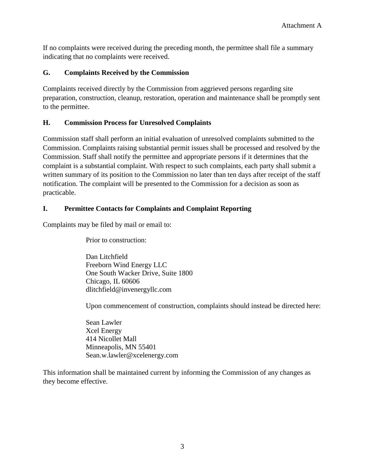If no complaints were received during the preceding month, the permittee shall file a summary indicating that no complaints were received.

### **G. Complaints Received by the Commission**

Complaints received directly by the Commission from aggrieved persons regarding site preparation, construction, cleanup, restoration, operation and maintenance shall be promptly sent to the permittee.

### **H. Commission Process for Unresolved Complaints**

Commission staff shall perform an initial evaluation of unresolved complaints submitted to the Commission. Complaints raising substantial permit issues shall be processed and resolved by the Commission. Staff shall notify the permittee and appropriate persons if it determines that the complaint is a substantial complaint. With respect to such complaints, each party shall submit a written summary of its position to the Commission no later than ten days after receipt of the staff notification. The complaint will be presented to the Commission for a decision as soon as practicable.

### **I. Permittee Contacts for Complaints and Complaint Reporting**

Complaints may be filed by mail or email to:

Prior to construction:

Dan Litchfield Freeborn Wind Energy LLC One South Wacker Drive, Suite 1800 Chicago, IL 60606 dlitchfield@invenergyllc.com

Upon commencement of construction, complaints should instead be directed here:

Sean Lawler Xcel Energy 414 Nicollet Mall Minneapolis, MN 55401 Sean.w.lawler@xcelenergy.com

This information shall be maintained current by informing the Commission of any changes as they become effective.